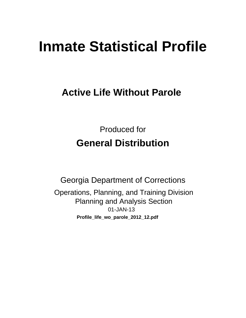# **Inmate Statistical Profile**

## **Active Life Without Parole**

**Produced for General Distribution** 

**Georgia Department of Corrections** Operations, Planning, and Training Division **Planning and Analysis Section** 01-JAN-13 Profile\_life\_wo\_parole\_2012\_12.pdf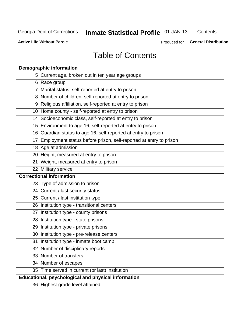## **Inmate Statistical Profile 01-JAN-13**

Contents

**Active Life Without Parole** 

Produced for General Distribution

## **Table of Contents**

| <b>Demographic information</b>                                       |
|----------------------------------------------------------------------|
| 5 Current age, broken out in ten year age groups                     |
| 6 Race group                                                         |
| 7 Marital status, self-reported at entry to prison                   |
| 8 Number of children, self-reported at entry to prison               |
| 9 Religious affiliation, self-reported at entry to prison            |
| 10 Home county - self-reported at entry to prison                    |
| 14 Socioeconomic class, self-reported at entry to prison             |
| 15 Environment to age 16, self-reported at entry to prison           |
| 16 Guardian status to age 16, self-reported at entry to prison       |
| 17 Employment status before prison, self-reported at entry to prison |
| 18 Age at admission                                                  |
| 20 Height, measured at entry to prison                               |
| 21 Weight, measured at entry to prison                               |
| 22 Military service                                                  |
| <b>Correctional information</b>                                      |
| 23 Type of admission to prison                                       |
| 24 Current / last security status                                    |
| 25 Current / last institution type                                   |
| 26 Institution type - transitional centers                           |
| 27 Institution type - county prisons                                 |
| 28 Institution type - state prisons                                  |
| 29 Institution type - private prisons                                |
| 30 Institution type - pre-release centers                            |
| 31 Institution type - inmate boot camp                               |
| 32 Number of disciplinary reports                                    |
| 33 Number of transfers                                               |
| 34 Number of escapes                                                 |
| 35 Time served in current (or last) institution                      |
| Educational, psychological and physical information                  |
| 36 Highest grade level attained                                      |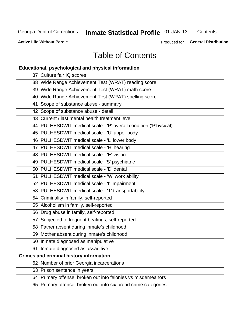## **Inmate Statistical Profile 01-JAN-13**

Contents

**Active Life Without Parole** 

Produced for General Distribution

## **Table of Contents**

| <b>Educational, psychological and physical information</b>       |
|------------------------------------------------------------------|
| 37 Culture fair IQ scores                                        |
| 38 Wide Range Achievement Test (WRAT) reading score              |
| 39 Wide Range Achievement Test (WRAT) math score                 |
| 40 Wide Range Achievement Test (WRAT) spelling score             |
| 41 Scope of substance abuse - summary                            |
| 42 Scope of substance abuse - detail                             |
| 43 Current / last mental health treatment level                  |
| 44 PULHESDWIT medical scale - 'P' overall condition ('P'hysical) |
| 45 PULHESDWIT medical scale - 'U' upper body                     |
| 46 PULHESDWIT medical scale - 'L' lower body                     |
| 47 PULHESDWIT medical scale - 'H' hearing                        |
| 48 PULHESDWIT medical scale - 'E' vision                         |
| 49 PULHESDWIT medical scale -'S' psychiatric                     |
| 50 PULHESDWIT medical scale - 'D' dental                         |
| 51 PULHESDWIT medical scale - 'W' work ability                   |
| 52 PULHESDWIT medical scale - 'I' impairment                     |
| 53 PULHESDWIT medical scale - 'T' transportability               |
| 54 Criminality in family, self-reported                          |
| 55 Alcoholism in family, self-reported                           |
| 56 Drug abuse in family, self-reported                           |
| 57 Subjected to frequent beatings, self-reported                 |
| 58 Father absent during inmate's childhood                       |
| 59 Mother absent during inmate's childhood                       |
| 60 Inmate diagnosed as manipulative                              |
| 61 Inmate diagnosed as assaultive                                |
| <b>Crimes and criminal history information</b>                   |
| 62 Number of prior Georgia incarcerations                        |
| 63 Prison sentence in years                                      |
| 64 Primary offense, broken out into felonies vs misdemeanors     |
| 65 Primary offense, broken out into six broad crime categories   |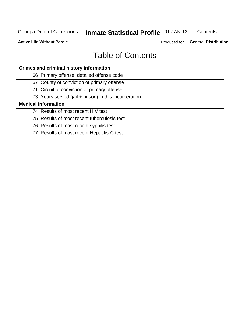## **Inmate Statistical Profile 01-JAN-13**

Contents

**Active Life Without Parole** 

Produced for General Distribution

## **Table of Contents**

| <b>Crimes and criminal history information</b>        |
|-------------------------------------------------------|
| 66 Primary offense, detailed offense code             |
| 67 County of conviction of primary offense            |
| 71 Circuit of conviction of primary offense           |
| 73 Years served (jail + prison) in this incarceration |
| <b>Medical information</b>                            |
| 74 Results of most recent HIV test                    |
| 75 Results of most recent tuberculosis test           |
| 76 Results of most recent syphilis test               |
| 77 Results of most recent Hepatitis-C test            |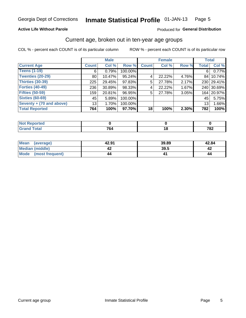#### Inmate Statistical Profile 01-JAN-13 Page 5

#### **Active Life Without Parole**

#### Produced for General Distribution

## Current age, broken out in ten-year age groups

COL % - percent each COUNT is of its particular column

|                          |                 | <b>Male</b> |         |              | <b>Female</b> |       | <b>Total</b>    |            |
|--------------------------|-----------------|-------------|---------|--------------|---------------|-------|-----------------|------------|
| <b>Current Age</b>       | <b>Count</b>    | Col %       | Row %   | <b>Count</b> | Col %         | Row % | <b>Total</b>    | Col %      |
| <b>Teens (1-19)</b>      | 6               | 0.79%       | 100.00% |              |               |       | 6'              | 0.77%      |
| <b>Twenties (20-29)</b>  | 80              | 10.47%      | 95.24%  | 4            | 22.22%        | 4.76% | 84 I            | 10.74%     |
| Thirties (30-39)         | 225             | 29.45%      | 97.83%  | 5            | 27.78%        | 2.17% |                 | 230 29.41% |
| <b>Forties (40-49)</b>   | 236             | 30.89%      | 98.33%  | 4            | 22.22%        | 1.67% |                 | 240 30.69% |
| <b>Fifties (50-59)</b>   | 159             | 20.81%      | 96.95%  | 5            | 27.78%        | 3.05% | 1641            | 20.97%     |
| <b>Sixties (60-69)</b>   | 45              | 5.89%       | 100.00% |              |               |       | 45              | 5.75%      |
| Seventy + (70 and above) | 13 <sub>1</sub> | 1.70%       | 100.00% |              |               |       | 13 <sub>1</sub> | 1.66%      |
| <b>Total Reported</b>    | 764             | 100%        | 97.70%  | 18           | 100%          | 2.30% | 782             | 100%       |

| ______ | 7c<br>____ | $\sim$ | 700<br>10Z |
|--------|------------|--------|------------|

| <b>Mean</b><br>(average) | 42.91 | 39.89 | 42.84 |
|--------------------------|-------|-------|-------|
| Median (middle)          |       | 39.5  |       |
| Mode<br>(most frequent)  | 44    |       | 44    |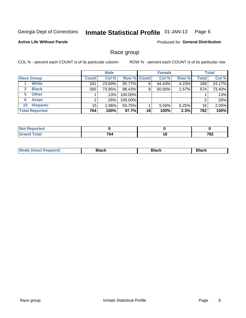#### Inmate Statistical Profile 01-JAN-13 Page 6

#### **Active Life Without Parole**

**Produced for General Distribution** 

### Race group

COL % - percent each COUNT is of its particular column

|                              |              | <b>Male</b> |                    |    | <b>Female</b> |       |              | <b>Total</b> |
|------------------------------|--------------|-------------|--------------------|----|---------------|-------|--------------|--------------|
| <b>Race Group</b>            | <b>Count</b> | Col %       | <b>Row % Count</b> |    | Col %         | Row % | <b>Total</b> | Col %        |
| <b>White</b>                 | 181          | 23.69%      | 95.77%             | 8  | 44.44%        | 4.23% | 189          | 24.17%       |
| <b>Black</b><br>$\mathbf{2}$ | 565          | 73.95%      | 98.43%             | 9  | 50.00%        | 1.57% | 574          | 73.40%       |
| <b>Other</b><br>5.           |              | .13%        | 100.00%            |    |               |       |              | .13%         |
| <b>Asian</b><br>6            | ⌒            | .26%        | 100.00%            |    |               |       | 2            | .26%         |
| <b>Hispanic</b><br>10        | 15           | $1.96\%$    | 93.75%             |    | 5.56%         | 6.25% | 16           | 2.05%        |
| <b>Total Reported</b>        | 764          | 100%        | 97.7%              | 18 | 100%          | 2.3%  | 782          | 100%         |

| المتحدث والمتعارف<br>тео |                                    |     |            |
|--------------------------|------------------------------------|-----|------------|
| <b>Total</b><br>______   | 70.<br>ייט<br>$\sim$ $\sim$ $\sim$ | 1 Q | 700<br>10Z |

| M | --- | $-1$ |
|---|-----|------|
|   |     |      |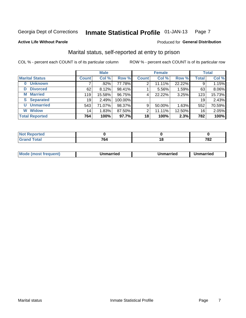#### Inmate Statistical Profile 01-JAN-13 Page 7

#### **Active Life Without Parole**

#### Produced for General Distribution

## Marital status, self-reported at entry to prison

COL % - percent each COUNT is of its particular column

|                       |              | <b>Male</b> |         |              | <b>Female</b> |        |              | <b>Total</b> |
|-----------------------|--------------|-------------|---------|--------------|---------------|--------|--------------|--------------|
| <b>Marital Status</b> | <b>Count</b> | Col %       | Row %   | <b>Count</b> | Col %         | Row %  | <b>Total</b> | Col %        |
| <b>Unknown</b><br>0   |              | $.92\%$     | 77.78%  | 2            | 11.11%        | 22.22% | 9            | 1.15%        |
| <b>Divorced</b><br>D  | 62           | 8.12%       | 98.41%  |              | 5.56%         | 1.59%  | 63           | 8.06%        |
| <b>Married</b><br>М   | 119          | 15.58%      | 96.75%  | 4            | 22.22%        | 3.25%  | 123          | 15.73%       |
| <b>Separated</b><br>S | 19           | 2.49%       | 100.00% |              |               |        | 19           | 2.43%        |
| <b>Unmarried</b><br>U | 543          | 71.07%      | 98.37%  | 9            | 50.00%        | 1.63%  | 552          | 70.59%       |
| <b>Widow</b><br>W     | 14           | 1.83%       | 87.50%  | 2            | 11.11%        | 12.50% | 16           | 2.05%        |
| <b>Total Reported</b> | 764          | 100%        | 97.7%   | 18           | 100%          | 2.3%   | 782          | 100%         |

| prtea<br><b>NOT</b> |           |    |             |
|---------------------|-----------|----|-------------|
|                     | 7c<br>ne: | ιo | 700<br>1 OZ |

|--|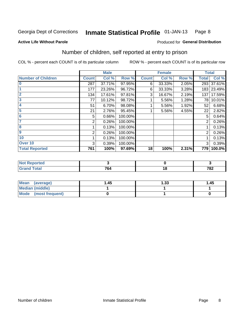#### Inmate Statistical Profile 01-JAN-13 Page 8

#### **Active Life Without Parole**

#### Produced for General Distribution

## Number of children, self reported at entry to prison

COL % - percent each COUNT is of its particular column

|                           |              | <b>Male</b> |         |              | <b>Female</b> |       |                | <b>Total</b> |
|---------------------------|--------------|-------------|---------|--------------|---------------|-------|----------------|--------------|
| <b>Number of Children</b> | <b>Count</b> | Col %       | Row %   | <b>Count</b> | Col %         | Row % | <b>Total</b>   | Col %        |
| $\bf{0}$                  | 287          | 37.71%      | 97.95%  | 6            | 33.33%        | 2.05% | 293            | 37.61%       |
|                           | 177          | 23.26%      | 96.72%  | 6            | 33.33%        | 3.28% |                | 183 23.49%   |
| $\overline{2}$            | 134          | 17.61%      | 97.81%  | 3            | 16.67%        | 2.19% | 137            | 17.59%       |
| 3                         | 77           | 10.12%      | 98.72%  |              | 5.56%         | 1.28% | 78             | 10.01%       |
| 4                         | 51           | 6.70%       | 98.08%  |              | 5.56%         | 1.92% | 52             | 6.68%        |
| 5                         | 21           | 2.76%       | 95.45%  |              | 5.56%         | 4.55% | 22             | 2.82%        |
| 6                         | 5            | 0.66%       | 100.00% |              |               |       | 5              | 0.64%        |
|                           | 2            | 0.26%       | 100.00% |              |               |       | 2              | 0.26%        |
| 8                         |              | 0.13%       | 100.00% |              |               |       |                | 0.13%        |
| $\boldsymbol{9}$          | 2            | 0.26%       | 100.00% |              |               |       | $\overline{2}$ | 0.26%        |
| 10                        |              | 0.13%       | 100.00% |              |               |       |                | 0.13%        |
| Over 10                   | 3            | 0.39%       | 100.00% |              |               |       | 3              | 0.39%        |
| <b>Total Reported</b>     | 761          | 100%        | 97.69%  | 18           | 100%          | 2.31% | 779            | 100.0%       |

| neo    |            |             |
|--------|------------|-------------|
| $\sim$ | 7c/<br>'O4 | 700<br>1 04 |

| Mean<br>(average)       | 1.45 | 1.33 | 1.45 |
|-------------------------|------|------|------|
| Median (middle)         |      |      |      |
| Mode<br>(most frequent) |      |      |      |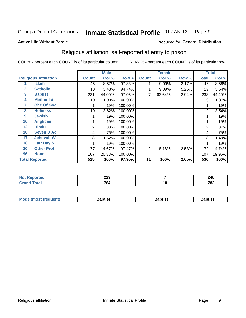#### **Inmate Statistical Profile 01-JAN-13** Page 9

#### **Active Life Without Parole**

## Produced for General Distribution

## Religious affiliation, self-reported at entry to prison

COL % - percent each COUNT is of its particular column

|              | <b>Male</b><br><b>Female</b> |              |        | <b>Total</b> |                |        |       |       |        |
|--------------|------------------------------|--------------|--------|--------------|----------------|--------|-------|-------|--------|
|              | <b>Religious Affiliation</b> | <b>Count</b> | Col %  | Row %        | <b>Count</b>   | Col %  | Row % | Total | Col %  |
|              | <b>Islam</b>                 | 45           | 8.57%  | 97.83%       |                | 9.09%  | 2.17% | 46    | 8.58%  |
| $\mathbf{2}$ | <b>Catholic</b>              | 18           | 3.43%  | 94.74%       |                | 9.09%  | 5.26% | 19    | 3.54%  |
| 3            | <b>Baptist</b>               | 231          | 44.00% | 97.06%       |                | 63.64% | 2.94% | 238   | 44.40% |
| 4            | <b>Methodist</b>             | 10           | 1.90%  | 100.00%      |                |        |       | 10    | 1.87%  |
| 7            | <b>Chc Of God</b>            |              | .19%   | 100.00%      |                |        |       |       | .19%   |
| 8            | <b>Holiness</b>              | 19           | 3.62%  | 100.00%      |                |        |       | 19    | 3.54%  |
| 9            | <b>Jewish</b>                |              | .19%   | 100.00%      |                |        |       |       | .19%   |
| 10           | <b>Anglican</b>              |              | .19%   | 100.00%      |                |        |       |       | .19%   |
| 12           | <b>Hindu</b>                 | 2            | .38%   | 100.00%      |                |        |       | 2     | .37%   |
| 16           | <b>Seven D Ad</b>            | 4            | .76%   | 100.00%      |                |        |       | 4     | .75%   |
| 17           | <b>Jehovah Wt</b>            | 8            | 1.52%  | 100.00%      |                |        |       | 8     | 1.49%  |
| 18           | <b>Latr Day S</b>            |              | .19%   | 100.00%      |                |        |       |       | .19%   |
| 20           | <b>Other Prot</b>            | 77           | 14.67% | 97.47%       | $\overline{2}$ | 18.18% | 2.53% | 79    | 14.74% |
| 96           | <b>None</b>                  | 107          | 20.38% | 100.00%      |                |        |       | 107   | 19.96% |
|              | <b>Total Reported</b>        | 525          | 100%   | 97.95%       | 11             | 100%   | 2.05% | 536   | 100%   |

| rtea<br>$\sim$ | 239                                  |     | 246 |
|----------------|--------------------------------------|-----|-----|
|                | 704<br>04<br>$\cdot$ $\cdot$ $\cdot$ | 1 O | 782 |

| <b>Mode (most frequent)</b> | 3aptist | Baptist | Baptist |
|-----------------------------|---------|---------|---------|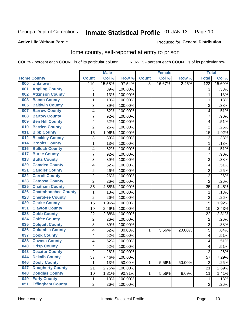#### Inmate Statistical Profile 01-JAN-13 Page 10

Produced for General Distribution

#### **Active Life Without Parole**

## Home county, self-reported at entry to prison

COL % - percent each COUNT is of its particular column

|     |                             |                | <b>Male</b> |         |              | <b>Female</b> |        | <b>Total</b>   |        |
|-----|-----------------------------|----------------|-------------|---------|--------------|---------------|--------|----------------|--------|
|     | <b>Home County</b>          | <b>Count</b>   | Col %       | Row %   | <b>Count</b> | Col %         | Row %  | <b>Total</b>   | Col %  |
| 000 | <b>Unknown</b>              | 119            | 15.58%      | 97.54%  | 3            | 16.67%        | 2.46%  | 122            | 15.60% |
| 001 | <b>Appling County</b>       | 3              | .39%        | 100.00% |              |               |        | 3              | .38%   |
| 002 | <b>Atkinson County</b>      | 1              | .13%        | 100.00% |              |               |        | 1              | .13%   |
| 003 | <b>Bacon County</b>         | $\mathbf 1$    | .13%        | 100.00% |              |               |        | 1              | .13%   |
| 005 | <b>Baldwin County</b>       | 3              | .39%        | 100.00% |              |               |        | 3              | .38%   |
| 007 | <b>Barrow County</b>        | 4              | .52%        | 100.00% |              |               |        | 4              | .51%   |
| 008 | <b>Bartow County</b>        | $\overline{7}$ | .92%        | 100.00% |              |               |        | 7              | .90%   |
| 009 | <b>Ben Hill County</b>      | 4              | .52%        | 100.00% |              |               |        | 4              | .51%   |
| 010 | <b>Berrien County</b>       | $\overline{2}$ | .26%        | 100.00% |              |               |        | $\overline{2}$ | .26%   |
| 011 | <b>Bibb County</b>          | 15             | 1.96%       | 100.00% |              |               |        | 15             | 1.92%  |
| 012 | <b>Bleckley County</b>      | 3              | .39%        | 100.00% |              |               |        | 3              | .38%   |
| 014 | <b>Brooks County</b>        | 1              | .13%        | 100.00% |              |               |        | 1              | .13%   |
| 016 | <b>Bulloch County</b>       | 4              | .52%        | 100.00% |              |               |        | 4              | .51%   |
| 017 | <b>Burke County</b>         | $\overline{7}$ | .92%        | 100.00% |              |               |        | 7              | .90%   |
| 018 | <b>Butts County</b>         | 3              | .39%        | 100.00% |              |               |        | 3              | .38%   |
| 020 | <b>Camden County</b>        | 4              | .52%        | 100.00% |              |               |        | 4              | .51%   |
| 021 | <b>Candler County</b>       | $\overline{2}$ | .26%        | 100.00% |              |               |        | $\overline{2}$ | .26%   |
| 022 | <b>Carroll County</b>       | $\overline{c}$ | .26%        | 100.00% |              |               |        | $\overline{2}$ | .26%   |
| 023 | <b>Catoosa County</b>       | $\overline{2}$ | .26%        | 100.00% |              |               |        | $\overline{2}$ | .26%   |
| 025 | <b>Chatham County</b>       | 35             | 4.58%       | 100.00% |              |               |        | 35             | 4.48%  |
| 026 | <b>Chattahoochee County</b> | $\mathbf 1$    | .13%        | 100.00% |              |               |        | 1              | .13%   |
| 028 | <b>Cherokee County</b>      | $\overline{2}$ | .26%        | 100.00% |              |               |        | $\overline{2}$ | .26%   |
| 029 | <b>Clarke County</b>        | 15             | 1.96%       | 100.00% |              |               |        | 15             | 1.92%  |
| 031 | <b>Clayton County</b>       | 19             | 2.49%       | 100.00% |              |               |        | 19             | 2.43%  |
| 033 | <b>Cobb County</b>          | 22             | 2.88%       | 100.00% |              |               |        | 22             | 2.81%  |
| 034 | <b>Coffee County</b>        | $\overline{2}$ | .26%        | 100.00% |              |               |        | $\overline{2}$ | .26%   |
| 035 | <b>Colquitt County</b>      | $\overline{3}$ | .39%        | 100.00% |              |               |        | 3              | .38%   |
| 036 | <b>Columbia County</b>      | 4              | .52%        | 80.00%  | 1            | 5.56%         | 20.00% | 5              | .64%   |
| 037 | <b>Cook County</b>          | 4              | .52%        | 100.00% |              |               |        | 4              | .51%   |
| 038 | <b>Coweta County</b>        | 4              | .52%        | 100.00% |              |               |        | 4              | .51%   |
| 040 | <b>Crisp County</b>         | 4              | .52%        | 100.00% |              |               |        | 4              | .51%   |
| 043 | <b>Decatur County</b>       | $\overline{c}$ | .26%        | 100.00% |              |               |        | $\overline{2}$ | .26%   |
| 044 | <b>Dekalb County</b>        | 57             | 7.46%       | 100.00% |              |               |        | 57             | 7.29%  |
| 046 | <b>Dooly County</b>         | 1              | .13%        | 50.00%  | $\mathbf{1}$ | 5.56%         | 50.00% | $\overline{2}$ | .26%   |
| 047 | <b>Dougherty County</b>     | 21             | 2.75%       | 100.00% |              |               |        | 21             | 2.69%  |
| 048 | <b>Douglas County</b>       | 10             | 1.31%       | 90.91%  | 1            | 5.56%         | 9.09%  | 11             | 1.41%  |
| 049 | <b>Early County</b>         | 1              | .13%        | 100.00% |              |               |        | 1              | .13%   |
| 051 | <b>Effingham County</b>     | $\overline{2}$ | .26%        | 100.00% |              |               |        | $\overline{2}$ | .26%   |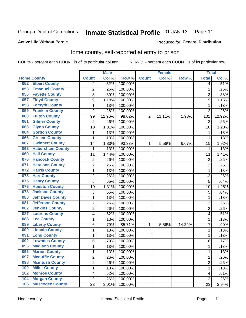#### **Inmate Statistical Profile 01-JAN-13** Page 11

#### **Active Life Without Parole**

## Produced for General Distribution

## Home county, self-reported at entry to prison

COL % - percent each COUNT is of its particular column

|     |                          |                         | <b>Male</b> |         |                | <b>Female</b> |        | <b>Total</b>   |        |
|-----|--------------------------|-------------------------|-------------|---------|----------------|---------------|--------|----------------|--------|
|     | <b>Home County</b>       | <b>Count</b>            | Col %       | Row %   | <b>Count</b>   | Col %         | Row %  | <b>Total</b>   | Col %  |
| 052 | <b>Elbert County</b>     | $\overline{\mathbf{4}}$ | .52%        | 100.00% |                |               |        | 4              | .51%   |
| 053 | <b>Emanuel County</b>    | $\overline{2}$          | .26%        | 100.00% |                |               |        | $\overline{2}$ | .26%   |
| 056 | <b>Fayette County</b>    | 3                       | .39%        | 100.00% |                |               |        | 3              | .38%   |
| 057 | <b>Floyd County</b>      | 9                       | 1.18%       | 100.00% |                |               |        | 9              | 1.15%  |
| 058 | <b>Forsyth County</b>    | $\mathbf 1$             | .13%        | 100.00% |                |               |        | 1              | .13%   |
| 059 | <b>Franklin County</b>   | $\overline{2}$          | .26%        | 100.00% |                |               |        | $\overline{2}$ | .26%   |
| 060 | <b>Fulton County</b>     | 99                      | 12.96%      | 98.02%  | $\overline{2}$ | 11.11%        | 1.98%  | 101            | 12.92% |
| 061 | <b>Gilmer County</b>     | 2                       | .26%        | 100.00% |                |               |        | $\overline{2}$ | .26%   |
| 063 | <b>Glynn County</b>      | 10                      | 1.31%       | 100.00% |                |               |        | 10             | 1.28%  |
| 064 | <b>Gordon County</b>     | 1                       | .13%        | 100.00% |                |               |        | 1              | .13%   |
| 066 | <b>Greene County</b>     | $\mathbf 1$             | .13%        | 100.00% |                |               |        | 1              | .13%   |
| 067 | <b>Gwinnett County</b>   | 14                      | 1.83%       | 93.33%  | 1              | 5.56%         | 6.67%  | 15             | 1.92%  |
| 068 | <b>Habersham County</b>  | 1                       | .13%        | 100.00% |                |               |        | 1              | .13%   |
| 069 | <b>Hall County</b>       | 11                      | 1.44%       | 100.00% |                |               |        | 11             | 1.41%  |
| 070 | <b>Hancock County</b>    | $\overline{2}$          | .26%        | 100.00% |                |               |        | $\overline{2}$ | .26%   |
| 071 | <b>Haralson County</b>   | $\overline{2}$          | .26%        | 100.00% |                |               |        | $\overline{2}$ | .26%   |
| 072 | <b>Harris County</b>     | $\mathbf{1}$            | .13%        | 100.00% |                |               |        | 1              | .13%   |
| 073 | <b>Hart County</b>       | $\overline{c}$          | .26%        | 100.00% |                |               |        | $\overline{2}$ | .26%   |
| 075 | <b>Henry County</b>      | 5                       | .65%        | 100.00% |                |               |        | 5              | .64%   |
| 076 | <b>Houston County</b>    | 10                      | 1.31%       | 100.00% |                |               |        | 10             | 1.28%  |
| 078 | <b>Jackson County</b>    | 5                       | .65%        | 100.00% |                |               |        | 5              | .64%   |
| 080 | <b>Jeff Davis County</b> | $\mathbf 1$             | .13%        | 100.00% |                |               |        | 1              | .13%   |
| 081 | <b>Jefferson County</b>  | $\overline{2}$          | .26%        | 100.00% |                |               |        | $\overline{2}$ | .26%   |
| 082 | <b>Jenkins County</b>    | $\overline{2}$          | .26%        | 100.00% |                |               |        | $\overline{2}$ | .26%   |
| 087 | <b>Laurens County</b>    | 4                       | .52%        | 100.00% |                |               |        | 4              | .51%   |
| 088 | <b>Lee County</b>        | $\mathbf 1$             | .13%        | 100.00% |                |               |        | 1              | .13%   |
| 089 | <b>Liberty County</b>    | 6                       | .79%        | 85.71%  | 1              | 5.56%         | 14.29% | $\overline{7}$ | .90%   |
| 090 | <b>Lincoln County</b>    | 1                       | .13%        | 100.00% |                |               |        | 1              | .13%   |
| 091 | <b>Long County</b>       | $\mathbf 1$             | .13%        | 100.00% |                |               |        | 1              | .13%   |
| 092 | <b>Lowndes County</b>    | 6                       | .79%        | 100.00% |                |               |        | 6              | .77%   |
| 095 | <b>Madison County</b>    | $\mathbf{1}$            | .13%        | 100.00% |                |               |        | 1              | .13%   |
| 096 | <b>Marion County</b>     | 1                       | .13%        | 100.00% |                |               |        | 1              | .13%   |
| 097 | <b>Mcduffie County</b>   | $\overline{2}$          | .26%        | 100.00% |                |               |        | $\overline{2}$ | .26%   |
| 098 | <b>Mcintosh County</b>   | $\overline{2}$          | .26%        | 100.00% |                |               |        | $\overline{2}$ | .26%   |
| 100 | <b>Miller County</b>     | $\mathbf{1}$            | .13%        | 100.00% |                |               |        | 1              | .13%   |
| 102 | <b>Monroe County</b>     | 4                       | .52%        | 100.00% |                |               |        | 4              | .51%   |
| 104 | <b>Morgan County</b>     | $\overline{2}$          | .26%        | 100.00% |                |               |        | $\overline{2}$ | .26%   |
| 106 | <b>Muscogee County</b>   | 23                      | 3.01%       | 100.00% |                |               |        | 23             | 2.94%  |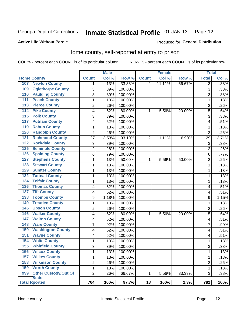#### Inmate Statistical Profile 01-JAN-13 Page 12

Produced for General Distribution

#### **Active Life Without Parole**

## Home county, self-reported at entry to prison

COL % - percent each COUNT is of its particular column

|                  |                             |                | <b>Male</b> |         | <b>Female</b>  |        | <b>Total</b> |                |       |
|------------------|-----------------------------|----------------|-------------|---------|----------------|--------|--------------|----------------|-------|
|                  | <b>Home County</b>          | <b>Count</b>   | Col %       | Row %   | <b>Count</b>   | Col%   | Row %        | <b>Total</b>   | Col % |
| 107              | <b>Newton County</b>        | 1              | .13%        | 33.33%  | 2              | 11.11% | 66.67%       | $\overline{3}$ | .38%  |
| 109              | <b>Oglethorpe County</b>    | 3              | .39%        | 100.00% |                |        |              | 3              | .38%  |
| 110              | <b>Paulding County</b>      | 3              | .39%        | 100.00% |                |        |              | 3              | .38%  |
| 111              | <b>Peach County</b>         | $\mathbf 1$    | .13%        | 100.00% |                |        |              | 1              | .13%  |
| $\overline{113}$ | <b>Pierce County</b>        | $\overline{c}$ | .26%        | 100.00% |                |        |              | $\overline{2}$ | .26%  |
| 114              | <b>Pike County</b>          | 4              | .52%        | 80.00%  | 1              | 5.56%  | 20.00%       | 5              | .64%  |
| $\overline{115}$ | <b>Polk County</b>          | 3              | .39%        | 100.00% |                |        |              | 3              | .38%  |
| 117              | <b>Putnam County</b>        | 4              | .52%        | 100.00% |                |        |              | 4              | .51%  |
| 119              | <b>Rabun County</b>         | 1              | .13%        | 100.00% |                |        |              | 1              | .13%  |
| 120              | <b>Randolph County</b>      | $\overline{c}$ | .26%        | 100.00% |                |        |              | $\overline{2}$ | .26%  |
| 121              | <b>Richmond County</b>      | 27             | 3.53%       | 93.10%  | $\overline{2}$ | 11.11% | 6.90%        | 29             | 3.71% |
| 122              | <b>Rockdale County</b>      | 3              | .39%        | 100.00% |                |        |              | 3              | .38%  |
| 125              | <b>Seminole County</b>      | $\overline{c}$ | .26%        | 100.00% |                |        |              | $\overline{2}$ | .26%  |
| 126              | <b>Spalding County</b>      | 6              | .79%        | 100.00% |                |        |              | 6              | .77%  |
| 127              | <b>Stephens County</b>      | 1              | .13%        | 50.00%  | 1              | 5.56%  | 50.00%       | $\overline{2}$ | .26%  |
| 128              | <b>Stewart County</b>       | $\mathbf 1$    | .13%        | 100.00% |                |        |              | 1              | .13%  |
| 129              | <b>Sumter County</b>        | $\mathbf 1$    | .13%        | 100.00% |                |        |              | 1              | .13%  |
| 132              | <b>Tattnall County</b>      | $\mathbf 1$    | .13%        | 100.00% |                |        |              | 1              | .13%  |
| 134              | <b>Telfair County</b>       | $\mathbf 1$    | .13%        | 100.00% |                |        |              | 1              | .13%  |
| 136              | <b>Thomas County</b>        | 4              | .52%        | 100.00% |                |        |              | 4              | .51%  |
| 137              | <b>Tift County</b>          | 4              | .52%        | 100.00% |                |        |              | 4              | .51%  |
| 138              | <b>Toombs County</b>        | 9              | 1.18%       | 100.00% |                |        |              | 9              | 1.15% |
| 140              | <b>Treutlen County</b>      | 1              | .13%        | 100.00% |                |        |              | 1              | .13%  |
| 145              | <b>Upson County</b>         | $\overline{2}$ | .26%        | 100.00% |                |        |              | $\overline{2}$ | .26%  |
| 146              | <b>Walker County</b>        | 4              | .52%        | 80.00%  | 1              | 5.56%  | 20.00%       | 5              | .64%  |
| $\overline{147}$ | <b>Walton County</b>        | 4              | .52%        | 100.00% |                |        |              | 4              | .51%  |
| 148              | <b>Ware County</b>          | 7              | .92%        | 100.00% |                |        |              | 7              | .90%  |
| 150              | <b>Washington County</b>    | 4              | .52%        | 100.00% |                |        |              | 4              | .51%  |
| 151              | <b>Wayne County</b>         | 4              | .52%        | 100.00% |                |        |              | 4              | .51%  |
| 154              | <b>White County</b>         | $\mathbf 1$    | .13%        | 100.00% |                |        |              | 1              | .13%  |
| 155              | <b>Whitfield County</b>     | 3              | .39%        | 100.00% |                |        |              | 3              | .38%  |
| 156              | <b>Wilcox County</b>        | 1              | .13%        | 100.00% |                |        |              | 1              | .13%  |
| 157              | <b>Wilkes County</b>        | $\mathbf{1}$   | .13%        | 100.00% |                |        |              | 1              | .13%  |
| 158              | <b>Wilkinson County</b>     | $\overline{c}$ | .26%        | 100.00% |                |        |              | 2              | .26%  |
| 159              | <b>Worth County</b>         | 1              | .13%        | 100.00% |                |        |              | 1              | .13%  |
| 999              | <b>Other Custody/Out Of</b> | $\overline{2}$ | .26%        | 66.67%  | 1              | 5.56%  | 33.33%       | 3              | .38%  |
|                  | <b>State</b>                |                |             |         |                |        |              |                |       |
|                  | <b>Total Rported</b>        | 764            | 100%        | 97.7%   | 18             | 100%   | 2.3%         | 782            | 100%  |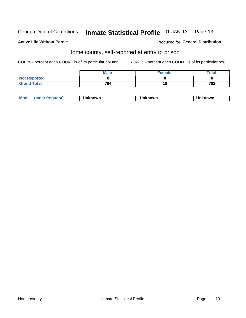#### Inmate Statistical Profile 01-JAN-13 Page 13

#### **Active Life Without Parole**

#### Produced for General Distribution

## Home county, self-reported at entry to prison

COL % - percent each COUNT is of its particular column

|                    | <b>Male</b> | <b>Female</b> | Total |
|--------------------|-------------|---------------|-------|
| Not Reported       |             |               |       |
| <b>Grand Total</b> | 764         | 18            | 782   |

| <b>Moa</b><br>nown | owr | nowr |
|--------------------|-----|------|
|--------------------|-----|------|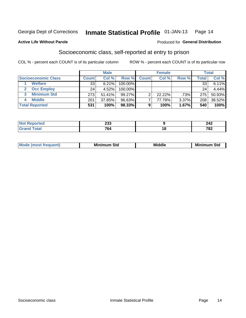#### Inmate Statistical Profile 01-JAN-13 Page 14

#### **Active Life Without Parole**

#### **Produced for General Distribution**

## Socioeconomic class, self-reported at entry to prison

COL % - percent each COUNT is of its particular column

|                       |              | <b>Male</b> |            |              | <b>Female</b> |       |       | <b>Total</b> |
|-----------------------|--------------|-------------|------------|--------------|---------------|-------|-------|--------------|
| Socioeconomic Class   | <b>Count</b> | Col %       | Row %      | <b>Count</b> | Col %         | Row % | Total | Col %        |
| <b>Welfare</b>        | 33           | 6.21%       | 100.00%    |              |               |       | 33    | 6.11%        |
| <b>Occ Employ</b>     | 24           | 4.52%       | $100.00\%$ |              |               |       | 24    | 4.44%        |
| <b>Minimum Std</b>    | 273          | 51.41%      | $99.27\%$  |              | $22.22\%$     | .73%  | 275   | 50.93%       |
| <b>Middle</b>         | 201          | 37.85%      | 96.63%     |              | 77.78%        | 3.37% | 208   | 38.52%       |
| <b>Total Reported</b> | 531          | 100%        | 98.33%     |              | 100%          | 1.67% | 540   | 100%         |

| $\sim$<br>∠ບປ               |     | 242         |
|-----------------------------|-----|-------------|
| 764<br>$\sim$ $\sim$ $\sim$ | 1 O | 700<br>1 OZ |

|  | M | Min<br>- - - -<br>οια<br>___ | Middle<br>____ | Min<br>Std<br>.<br>. |
|--|---|------------------------------|----------------|----------------------|
|--|---|------------------------------|----------------|----------------------|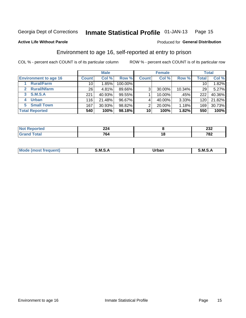#### Inmate Statistical Profile 01-JAN-13 Page 15

**Active Life Without Parole** 

#### Produced for General Distribution

## Environment to age 16, self-reported at entry to prison

COL % - percent each COUNT is of its particular column

|                                    |                 | <b>Male</b> |           |              | <b>Female</b> |        |                 | <b>Total</b> |
|------------------------------------|-----------------|-------------|-----------|--------------|---------------|--------|-----------------|--------------|
| <b>Environment to age 16</b>       | <b>Count</b>    | Col %       | Row %     | <b>Count</b> | Col %         | Row %  | <b>Total</b>    | Col %        |
| <b>Rural/Farm</b>                  | 10              | 1.85%       | 100.00%   |              |               |        | 10 <sub>1</sub> | 1.82%        |
| <b>Rural/Nfarm</b><br>$\mathbf{2}$ | 26 <sub>1</sub> | 4.81%       | 89.66%    | 3            | 30.00%        | 10.34% | 29              | 5.27%        |
| 3 S.M.S.A                          | 221             | 40.93%      | 99.55%    |              | 10.00%        | .45%   | 222             | 40.36%       |
| <b>Urban</b><br>4                  | 116             | 21.48%      | $96.67\%$ |              | 40.00%        | 3.33%  | 120             | 21.82%       |
| 5 Small Town                       | 167             | 30.93%      | 98.82%    | っ            | 20.00%        | 1.18%  | 169             | 30.73%       |
| <b>Total Reported</b>              | 540             | 100%        | 98.18%    | 10           | 100%          | 1.82%  | 550             | 100%         |

| NO<br>τeι<br>. | <br>-44<br>__ |     | ິ<br>ZJZ  |
|----------------|---------------|-----|-----------|
|                | 701<br>O4     | 1 Q | 700<br>◡▵ |

| Mo | M | urhar . | M      |
|----|---|---------|--------|
|    |   | _____   | ______ |
|    |   |         |        |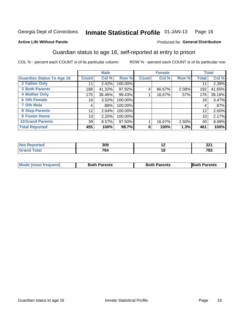#### Inmate Statistical Profile 01-JAN-13 Page 16

#### **Active Life Without Parole**

#### Produced for General Distribution

## Guardian status to age 16, self-reported at entry to prison

COL % - percent each COUNT is of its particular column

|                                  |              | <b>Male</b> |         |              | <b>Female</b> |       |              | <b>Total</b> |
|----------------------------------|--------------|-------------|---------|--------------|---------------|-------|--------------|--------------|
| <b>Guardian Status To Age 16</b> | <b>Count</b> | Col %       | Row %   | <b>Count</b> | Col %         | Row % | <b>Total</b> | Col %        |
| 2 Father Only                    | 11           | 2.42%       | 100.00% |              |               |       | 11           | 2.39%        |
| <b>3 Both Parents</b>            | 188          | 41.32%      | 97.92%  | 4            | 66.67%        | 2.08% | 192          | 41.65%       |
| <b>4 Mother Only</b>             | 175          | 38.46%      | 99.43%  |              | 16.67%        | .57%  | 176          | 38.18%       |
| <b>6 Oth Female</b>              | 16           | 3.52%       | 100.00% |              |               |       | 16           | 3.47%        |
| <b>7 Oth Male</b>                | 4            | $.88\%$     | 100.00% |              |               |       | 4            | $.87\%$      |
| 8 Step-Parents                   | 12           | 2.64%       | 100.00% |              |               |       | 12           | 2.60%        |
| <b>9 Foster Home</b>             | 10           | 2.20%       | 100.00% |              |               |       | 10           | 2.17%        |
| <b>10 Grand Parents</b>          | 39           | 8.57%       | 97.50%  |              | 16.67%        | 2.50% | 40           | 8.68%        |
| <b>Total Reported</b>            | 455          | 100%        | 98.7%   | 6            | 100%          | 1.3%  | 461          | 100%         |

| ted         | 309       | -- | 22<br>JZ 1 |
|-------------|-----------|----|------------|
| <b>otal</b> | 701<br>ο4 | יי | 700<br>0Z  |

| <b>Mode (most frequent)</b> | <b>Both Parents</b> | <b>Both Parents</b> | <b>Both Parents</b> |
|-----------------------------|---------------------|---------------------|---------------------|
|                             |                     |                     |                     |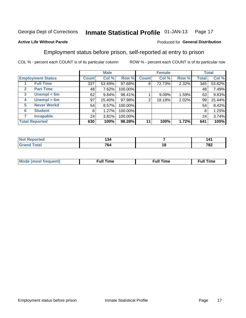#### Inmate Statistical Profile 01-JAN-13 Page 17

#### **Active Life Without Parole**

#### Produced for General Distribution

## Employment status before prison, self-reported at entry to prison

COL % - percent each COUNT is of its particular column

|                                  |         | <b>Male</b> |         |                | <b>Female</b> |       |       | <b>Total</b> |
|----------------------------------|---------|-------------|---------|----------------|---------------|-------|-------|--------------|
| <b>Employment Status</b>         | Count l | Col %       | Row %   | <b>Count</b>   | Col %         | Row % | Total | Col %        |
| <b>Full Time</b>                 | 337     | 53.49%      | 97.68%  | 8              | 72.73%        | 2.32% | 345   | 53.82%       |
| <b>Part Time</b><br>$\mathbf{2}$ | 48      | 7.62%       | 100.00% |                |               |       | 48    | 7.49%        |
| Unempl $<$ 6m<br>$\mathbf{3}$    | 62      | 9.84%       | 98.41%  |                | $9.09\%$      | 1.59% | 63    | 9.83%        |
| Unempl $> 6m$<br>4               | 97      | 15.40%      | 97.98%  | $\overline{2}$ | 18.18%        | 2.02% | 99    | 15.44%       |
| <b>Never Workd</b><br>5          | 54      | 8.57%       | 100.00% |                |               |       | 54    | 8.42%        |
| <b>Student</b><br>6              | 8       | 1.27%       | 100.00% |                |               |       | 8     | 1.25%        |
| <b>Incapable</b>                 | 24      | 3.81%       | 100.00% |                |               |       | 24    | 3.74%        |
| <b>Total Reported</b>            | 630     | 100%        | 98.28%  | 11             | 100%          | 1.72% | 641   | 100%         |

| τeα                    | . .<br>25.<br>___ |        | 141          |
|------------------------|-------------------|--------|--------------|
| $f \wedge f \wedge f'$ | 764               | <br>__ | 700<br>1 O Z |

| Mc | ∴ull | ----<br>ıme<br>w |
|----|------|------------------|
|    |      |                  |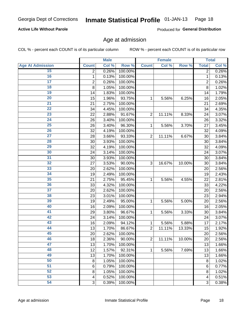#### Inmate Statistical Profile 01-JAN-13 Page 18

#### **Active Life Without Parole**

Produced for General Distribution

### Age at admission

COL % - percent each COUNT is of its particular column

|                         |                | <b>Male</b> |         |                | <b>Female</b> |        |                | <b>Total</b> |
|-------------------------|----------------|-------------|---------|----------------|---------------|--------|----------------|--------------|
| <b>Age At Admission</b> | <b>Count</b>   | Col %       | Row %   | <b>Count</b>   | Col %         | Row %  | <b>Total</b>   | Col %        |
| 15                      | $\overline{2}$ | 0.26%       | 100.00% |                |               |        | $\overline{2}$ | 0.26%        |
| 16                      | 1              | 0.13%       | 100.00% |                |               |        | 1              | 0.13%        |
| $\overline{17}$         | $\mathbf 2$    | 0.26%       | 100.00% |                |               |        | $\overline{2}$ | 0.26%        |
| 18                      | 8              | 1.05%       | 100.00% |                |               |        | 8              | 1.02%        |
| 19                      | 14             | 1.83%       | 100.00% |                |               |        | 14             | 1.79%        |
| $\overline{20}$         | 15             | 1.96%       | 93.75%  | 1              | 5.56%         | 6.25%  | 16             | 2.05%        |
| 21                      | 21             | 2.75%       | 100.00% |                |               |        | 21             | 2.69%        |
| $\overline{22}$         | 34             | 4.45%       | 100.00% |                |               |        | 34             | 4.35%        |
| $\overline{23}$         | 22             | 2.88%       | 91.67%  | $\overline{2}$ | 11.11%        | 8.33%  | 24             | 3.07%        |
| $\overline{24}$         | 26             | 3.40%       | 100.00% |                |               |        | 26             | 3.32%        |
| $\overline{25}$         | 26             | 3.40%       | 96.30%  | 1              | 5.56%         | 3.70%  | 27             | 3.45%        |
| 26                      | 32             | 4.19%       | 100.00% |                |               |        | 32             | 4.09%        |
| $\overline{27}$         | 28             | 3.66%       | 93.33%  | $\overline{2}$ | 11.11%        | 6.67%  | 30             | 3.84%        |
| 28                      | 30             | 3.93%       | 100.00% |                |               |        | 30             | 3.84%        |
| 29                      | 32             | 4.19%       | 100.00% |                |               |        | 32             | 4.09%        |
| 30                      | 24             | 3.14%       | 100.00% |                |               |        | 24             | 3.07%        |
| 31                      | 30             | 3.93%       | 100.00% |                |               |        | 30             | 3.84%        |
| 32                      | 27             | 3.53%       | 90.00%  | 3              | 16.67%        | 10.00% | 30             | 3.84%        |
| 33                      | 20             | 2.62%       | 100.00% |                |               |        | 20             | 2.56%        |
| $\overline{34}$         | 19             | 2.49%       | 100.00% |                |               |        | 19             | 2.43%        |
| 35                      | 21             | 2.75%       | 95.45%  | 1              | 5.56%         | 4.55%  | 22             | 2.81%        |
| 36                      | 33             | 4.32%       | 100.00% |                |               |        | 33             | 4.22%        |
| $\overline{37}$         | 20             | 2.62%       | 100.00% |                |               |        | 20             | 2.56%        |
| 38                      | 23             | 3.01%       | 100.00% |                |               |        | 23             | 2.94%        |
| 39                      | 19             | 2.49%       | 95.00%  | 1              | 5.56%         | 5.00%  | 20             | 2.56%        |
| 40                      | 16             | 2.09%       | 100.00% |                |               |        | 16             | 2.05%        |
| 41                      | 29             | 3.80%       | 96.67%  | 1              | 5.56%         | 3.33%  | 30             | 3.84%        |
| 42                      | 24             | 3.14%       | 100.00% |                |               |        | 24             | 3.07%        |
| 43                      | 16             | 2.09%       | 94.12%  | 1              | 5.56%         | 5.88%  | 17             | 2.17%        |
| 44                      | 13             | 1.70%       | 86.67%  | $\overline{2}$ | 11.11%        | 13.33% | 15             | 1.92%        |
| 45                      | 20             | 2.62%       | 100.00% |                |               |        | 20             | 2.56%        |
| 46                      | 18             | 2.36%       | 90.00%  | $\overline{2}$ | 11.11%        | 10.00% | 20             | 2.56%        |
| 47                      | 13             | 1.70%       | 100.00% |                |               |        | 13             | 1.66%        |
| 48                      | 12             | 1.57%       | 92.31%  | 1              | 5.56%         | 7.69%  | 13             | 1.66%        |
| 49                      | 13             | 1.70%       | 100.00% |                |               |        | 13             | 1.66%        |
| 50                      | 8              | 1.05%       | 100.00% |                |               |        | 8              | 1.02%        |
| $\overline{51}$         | 6              | 0.79%       | 100.00% |                |               |        | 6              | 0.77%        |
| $\overline{52}$         | 8              | 1.05%       | 100.00% |                |               |        | 8              | 1.02%        |
| 53                      | 4              | 0.52%       | 100.00% |                |               |        | 4              | 0.51%        |
| 54                      | 3              | 0.39%       | 100.00% |                |               |        | 3              | 0.38%        |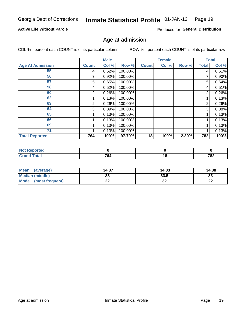#### Inmate Statistical Profile 01-JAN-13 Page 19

#### **Active Life Without Parole**

Produced for General Distribution

### Age at admission

COL % - percent each COUNT is of its particular column

|                         |              | <b>Male</b> |         |              | <b>Female</b> |       |              | <b>Total</b> |
|-------------------------|--------------|-------------|---------|--------------|---------------|-------|--------------|--------------|
| <b>Age At Admission</b> | <b>Count</b> | Col %       | Row %   | <b>Count</b> | Col %         | Row % | <b>Total</b> | Col %        |
| 55                      | 4            | 0.52%       | 100.00% |              |               |       | 4            | 0.51%        |
| 56                      |              | 0.92%       | 100.00% |              |               |       |              | 0.90%        |
| 57                      | 5            | 0.65%       | 100.00% |              |               |       | 5            | 0.64%        |
| 58                      | 4            | 0.52%       | 100.00% |              |               |       | 4            | 0.51%        |
| 60                      | 2            | 0.26%       | 100.00% |              |               |       | 2            | 0.26%        |
| 62                      |              | 0.13%       | 100.00% |              |               |       |              | 0.13%        |
| 63                      | 2            | 0.26%       | 100.00% |              |               |       | 2            | 0.26%        |
| 64                      | 3            | 0.39%       | 100.00% |              |               |       | 3            | 0.38%        |
| 65                      |              | 0.13%       | 100.00% |              |               |       |              | 0.13%        |
| 66                      |              | 0.13%       | 100.00% |              |               |       |              | 0.13%        |
| 69                      |              | 0.13%       | 100.00% |              |               |       |              | 0.13%        |
| 71                      |              | 0.13%       | 100.00% |              |               |       |              | 0.13%        |
| <b>Total Reported</b>   | 764          | 100%        | 97.70%  | 18           | 100%          | 2.30% | 782          | 100%         |

| <b>rted</b>     |               |    |      |
|-----------------|---------------|----|------|
| $\sim$ 4 $\sim$ | 764           | 10 | 702  |
|                 | $\sim$ $\sim$ |    | 1 OZ |

| <b>Mean</b><br>(average)       | 34.37     | 34.83   | 34.38     |
|--------------------------------|-----------|---------|-----------|
| <b>Median (middle)</b>         | n n<br>JJ | 33.5    | າາ<br>JЗ. |
| <b>Mode</b><br>(most frequent) | ົ<br>LL   | ົ<br>JZ | ne.<br>LL |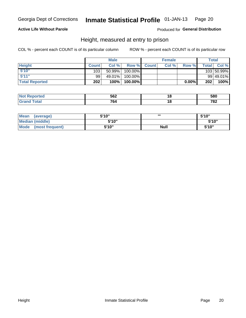#### Inmate Statistical Profile 01-JAN-13 Page 20

#### **Active Life Without Parole**

Produced for General Distribution

### Height, measured at entry to prison

COL % - percent each COUNT is of its particular column

|                       |              | <b>Male</b> |         |              | <b>Female</b> |       |              | Total      |
|-----------------------|--------------|-------------|---------|--------------|---------------|-------|--------------|------------|
| <b>Height</b>         | <b>Count</b> | Col%        | Row %   | <b>Count</b> | Col %         | Row % | <b>Total</b> | Col %      |
| 5'10''                | 103          | $50.99\%$   | 100.00% |              |               |       |              | 103 50.99% |
| 5'11''                | 99           | 49.01%      | 100.00% |              |               |       |              | 99 49.01%  |
| <b>Total Reported</b> | 202          | 100%        | 100.00% |              |               | 0.00% | 202          | 100%       |

| <b>No</b>                    | になつ | . .    | 580         |
|------------------------------|-----|--------|-------------|
| теа                          | ◡◡▵ | $\sim$ |             |
| <b>Total</b><br><b>Grand</b> | 764 |        | 700<br>0∡ ≀ |

| <b>Mean</b><br>(average)       | 5'10'' | ,,,         | 5'10"  |
|--------------------------------|--------|-------------|--------|
| <b>Median (middle)</b>         | 5'10"  |             | 5'10'' |
| <b>Mode</b><br>(most frequent) | 5'10"  | <b>Null</b> | 5'10"  |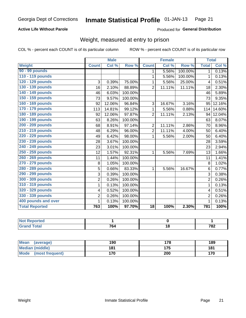#### Inmate Statistical Profile 01-JAN-13 Page 21

#### **Active Life Without Parole**

**Produced for General Distribution** 

## Weight, measured at entry to prison

COL % - percent each COUNT is of its particular column

|                       |                | <b>Male</b> |         |                 | <b>Female</b> |         |                | <b>Total</b> |
|-----------------------|----------------|-------------|---------|-----------------|---------------|---------|----------------|--------------|
| <b>Weight</b>         | <b>Count</b>   | Col %       | Row %   | <b>Count</b>    | Col %         | Row %   | <b>Total</b>   | Col %        |
| 90 - 99 pounds        |                |             |         | 1.              | 5.56%         | 100.00% | $\mathbf{1}$   | 0.13%        |
| 110 - 119 pounds      |                |             |         | 1               | 5.56%         | 100.00% | 1              | 0.13%        |
| 120 - 129 pounds      | 3              | 0.39%       | 75.00%  | 1               | 5.56%         | 25.00%  | 4              | 0.51%        |
| 130 - 139 pounds      | 16             | 2.10%       | 88.89%  | $\overline{2}$  | 11.11%        | 11.11%  | 18             | 2.30%        |
| 140 - 149 pounds      | 46             | 6.03%       | 100.00% |                 |               |         | 46             | 5.89%        |
| 150 - 159 pounds      | 73             | 9.57%       | 100.00% |                 |               |         | 73             | 9.35%        |
| 160 - 169 pounds      | 92             | 12.06%      | 96.84%  | 3               | 16.67%        | 3.16%   | 95             | 12.16%       |
| 170 - 179 pounds      | 113            | 14.81%      | 99.12%  | 1               | 5.56%         | 0.88%   | 114            | 14.60%       |
| 180 - 189 pounds      | 92             | 12.06%      | 97.87%  | $\overline{2}$  | 11.11%        | 2.13%   | 94             | 12.04%       |
| 190 - 199 pounds      | 63             | 8.26%       | 100.00% |                 |               |         | 63             | 8.07%        |
| 200 - 209 pounds      | 68             | 8.91%       | 97.14%  | $\overline{2}$  | 11.11%        | 2.86%   | 70             | 8.96%        |
| 210 - 219 pounds      | 48             | 6.29%       | 96.00%  | $\overline{2}$  | 11.11%        | 4.00%   | 50             | 6.40%        |
| 220 - 229 pounds      | 49             | 6.42%       | 98.00%  | 1               | 5.56%         | 2.00%   | 50             | 6.40%        |
| 230 - 239 pounds      | 28             | 3.67%       | 100.00% |                 |               |         | 28             | 3.59%        |
| 240 - 249 pounds      | 23             | 3.01%       | 100.00% |                 |               |         | 23             | 2.94%        |
| 250 - 259 pounds      | 12             | 1.57%       | 92.31%  | $\mathbf{1}$    | 5.56%         | 7.69%   | 13             | 1.66%        |
| 260 - 269 pounds      | 11             | 1.44%       | 100.00% |                 |               |         | 11             | 1.41%        |
| 270 - 279 pounds      | 8              | 1.05%       | 100.00% |                 |               |         | 8              | 1.02%        |
| 280 - 289 pounds      | 5              | 0.66%       | 83.33%  | 1               | 5.56%         | 16.67%  | 6              | 0.77%        |
| 290 - 299 pounds      | 3              | 0.39%       | 100.00% |                 |               |         | 3              | 0.38%        |
| 300 - 309 pounds      | $\overline{2}$ | 0.26%       | 100.00% |                 |               |         | $\overline{2}$ | 0.26%        |
| 310 - 319 pounds      | 1              | 0.13%       | 100.00% |                 |               |         | $\mathbf 1$    | 0.13%        |
| 320 - 329 pounds      | 4              | 0.52%       | 100.00% |                 |               |         | 4              | 0.51%        |
| 330 - 339 pounds      | $\mathbf 2$    | 0.26%       | 100.00% |                 |               |         | $\overline{2}$ | 0.26%        |
| 400 pounds and over   | 1              | 0.13%       | 100.00% |                 |               |         | $\mathbf 1$    | 0.13%        |
| <b>Total Reported</b> | 763            | 100%        | 97.70%  | $\overline{18}$ | 100%          | 2.30%   | 781            | 100%         |

| .<br>____ |                   |        |              |
|-----------|-------------------|--------|--------------|
|           | 7C<br>764<br>____ | $\sim$ | 700<br>1 O Z |

| <b>Mean</b><br>(average)       | 190 | '78 | 189 |
|--------------------------------|-----|-----|-----|
| <b>Median (middle)</b>         | 181 | 175 | 181 |
| <b>Mode</b><br>(most frequent) | 170 | 200 | 170 |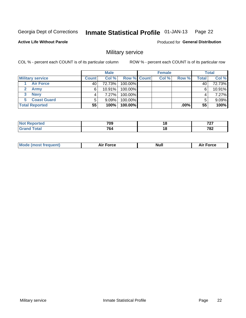#### Inmate Statistical Profile 01-JAN-13 Page 22

#### **Active Life Without Parole**

**Produced for General Distribution** 

## Military service

COL % - percent each COUNT is of its particular column

|                          |              | <b>Male</b> |                    | <b>Female</b> |       |       | <b>Total</b> |
|--------------------------|--------------|-------------|--------------------|---------------|-------|-------|--------------|
| <b>Military service</b>  | <b>Count</b> | Col%        | <b>Row % Count</b> | Col %         | Row % | Total | Col %        |
| <b>Air Force</b>         | 40           | 72.73%      | 100.00%            |               |       | 40    | 72.73%       |
| <b>Army</b>              | 6            | $10.91\%$   | 100.00%            |               |       | 6     | 10.91%       |
| <b>Navy</b><br>3         |              | $7.27\%$    | 100.00%            |               |       |       | 7.27%        |
| <b>Coast Guard</b><br>5. |              | $9.09\%$    | 100.00%            |               |       |       | 9.09%        |
| <b>Total Reported</b>    | 55           | 100%        | 100.00%            |               | ا%00. | 55    | 100%         |

|      | 709<br>$  -$        | 10 | $\overline{\phantom{a}}$<br>$\cdot$ . |
|------|---------------------|----|---------------------------------------|
| ____ | 70<br>$\sim$ $\sim$ | 10 | 700<br>1 U L                          |

| Mode (most frequent) | Force<br>Aır | Null | ∙orce |
|----------------------|--------------|------|-------|
|                      |              |      |       |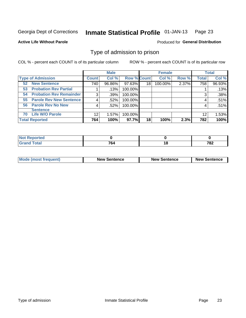#### Inmate Statistical Profile 01-JAN-13 Page 23

**Active Life Without Parole** 

**Produced for General Distribution** 

## Type of admission to prison

COL % - percent each COUNT is of its particular column

|                                      |              | <b>Male</b> |                    |    | <b>Female</b> |       |              | <b>Total</b> |
|--------------------------------------|--------------|-------------|--------------------|----|---------------|-------|--------------|--------------|
| <b>Type of Admission</b>             | <b>Count</b> | Col %       | <b>Row % Count</b> |    | Col %         | Row % | <b>Total</b> | Col %        |
| <b>New Sentence</b><br>52            | 740          | 96.86%      | 97.63%             | 18 | 100.00%       | 2.37% | 758          | 96.93%       |
| <b>Probation Rev Partial</b><br>53   |              | .13%        | 100.00%            |    |               |       |              | .13%         |
| <b>Probation Rev Remainder</b><br>54 | 3            | .39%        | 100.00%            |    |               |       | 3            | .38%         |
| <b>Parole Rev New Sentence</b><br>55 | 4            | .52%        | 100.00%            |    |               |       | 4            | .51%         |
| 56 Parole Rev No New                 | 4            | .52%        | 100.00%            |    |               |       | 4            | .51%         |
| <b>Sentence</b>                      |              |             |                    |    |               |       |              |              |
| <b>Life W/O Parole</b><br>70         | 12           | 1.57%       | 100.00%            |    |               |       | 12           | 1.53%        |
| <b>Total Reported</b>                | 764          | 100%        | 97.7%              | 18 | 100%          | 2.3%  | 782          | 100%         |

| <b>Not Reported</b> |                                  |    |     |
|---------------------|----------------------------------|----|-----|
| <b>Total</b>        | $\overline{\phantom{a}}$<br>. O4 | 10 | 782 |

| <b>Mode (most frequent)</b> | <b>New Sentence</b> | <b>New Sentence</b> | <b>New Sentence</b> |
|-----------------------------|---------------------|---------------------|---------------------|
|                             |                     |                     |                     |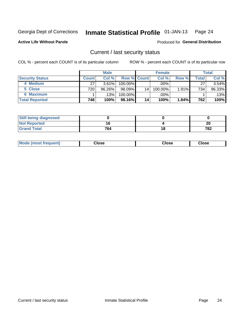**Active Life Without Parole** 

#### Inmate Statistical Profile 01-JAN-13 Page 24

Produced for General Distribution

### Current / last security status

COL % - percent each COUNT is of its particular column

|                        |              | <b>Male</b> |                    |    | <b>Female</b> |       |       | <b>Total</b> |
|------------------------|--------------|-------------|--------------------|----|---------------|-------|-------|--------------|
| <b>Security Status</b> | <b>Count</b> | Col %       | <b>Row % Count</b> |    | Col %         | Row % | Total | Col %        |
| 4 Medium               | 27           | $3.61\%$    | $100.00\%$         |    | .00%          |       | 27    | 3.54%        |
| 5 Close                | 720          | 96.26%      | $98.09\%$          | 14 | 100.00%       | 1.91% | 734   | 96.33%       |
| <b>6 Maximum</b>       |              | $.13\%$     | 100.00%            |    | .00%          |       |       | .13%         |
| <b>Total Reported</b>  | 748          | 100%        | 98.16%             | 14 | 100%          | 1.84% | 762   | 100%         |

| <b>Still being diagnosed</b> |     |         |
|------------------------------|-----|---------|
| <b>Not Reported</b>          |     | ״<br>ZL |
| <b>Grand Total</b>           | 764 | 782     |

| Mode (most frequent) | Close | Close | Close |  |
|----------------------|-------|-------|-------|--|
|                      |       |       |       |  |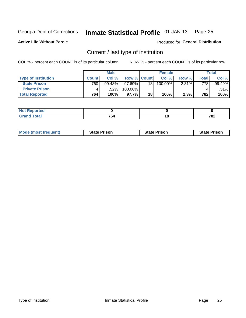#### Inmate Statistical Profile 01-JAN-13 Page 25

**Active Life Without Parole** 

Produced for General Distribution

## Current / last type of institution

COL % - percent each COUNT is of its particular column

|                            |       | <b>Male</b> |                    |    | <b>Female</b> |          |       | <b>Total</b> |
|----------------------------|-------|-------------|--------------------|----|---------------|----------|-------|--------------|
| <b>Type of Institution</b> | Count | Col %       | <b>Row % Count</b> |    | Col %         | Row %    | Total | Col %        |
| <b>State Prison</b>        | 760   | 99.48%      | $97.69\%$          | 18 | 100.00%       | $2.31\%$ | 778   | 99.49%       |
| <b>Private Prison</b>      |       | .52%        | 100.00%            |    |               |          |       | .51%         |
| <b>Total Reported</b>      | 764   | 100%        | $97.7\%$           | 18 | 100%          | 2.3%     | 782   | 100%         |

| tea          |     |     |
|--------------|-----|-----|
| <b>Total</b> | 701 | 700 |
|              | .   | 10Z |

| <b>Mode (most frequent)</b> | <b>State Prison</b> | <b>State Prison</b> | <b>State Prison</b> |
|-----------------------------|---------------------|---------------------|---------------------|
|                             |                     |                     |                     |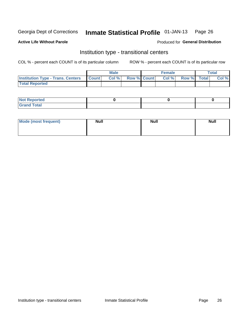#### Inmate Statistical Profile 01-JAN-13 Page 26

**Active Life Without Parole** 

#### Produced for General Distribution

## Institution type - transitional centers

COL % - percent each COUNT is of its particular column

|                                                | Male  |                    | <b>Female</b> |                   | Total |
|------------------------------------------------|-------|--------------------|---------------|-------------------|-------|
| <b>Institution Type - Trans. Centers Count</b> | Col % | <b>Row % Count</b> |               | Col % Row % Total | Col % |
| <b>Total Reported</b>                          |       |                    |               |                   |       |

| <b>Reported</b><br><b>NOT</b><br>$\sim$            |  |  |
|----------------------------------------------------|--|--|
| $f$ $f \circ f \circ f$<br>$C = 1$<br><b>TULAI</b> |  |  |

| Mode (most frequent) | <b>Null</b> | <b>Null</b> | <b>Null</b> |
|----------------------|-------------|-------------|-------------|
|                      |             |             |             |
|                      |             |             |             |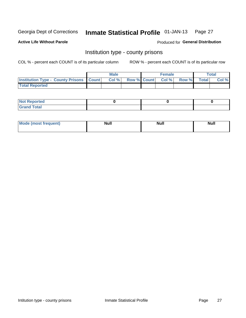#### Inmate Statistical Profile 01-JAN-13 Page 27

**Active Life Without Parole** 

**Produced for General Distribution** 

### Institution type - county prisons

COL % - percent each COUNT is of its particular column

|                                                    | <b>Male</b> |                          | <b>Female</b> |             | <b>Total</b> |
|----------------------------------------------------|-------------|--------------------------|---------------|-------------|--------------|
| <b>Institution Type - County Prisons   Count  </b> | Col %       | <b>Row % Count Col %</b> |               | Row % Total | Col %        |
| <b>Total Reported</b>                              |             |                          |               |             |              |

| <b>Not Reported</b>   |  |  |
|-----------------------|--|--|
| <b>Total</b><br>Granc |  |  |

| <b>Mode</b>      | <b>Null</b> | <b>Null</b> | <b>Null</b> |
|------------------|-------------|-------------|-------------|
| (most freauent). |             |             |             |
|                  |             |             |             |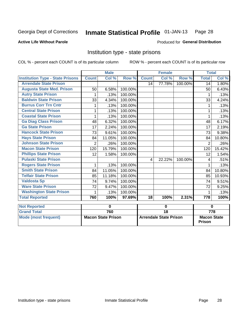#### Inmate Statistical Profile 01-JAN-13 Page 28

#### **Active Life Without Parole**

#### **Produced for General Distribution**

## Institution type - state prisons

COL % - percent each COUNT is of its particular column

|                                         |                | <b>Male</b>               |         |                         | <b>Female</b>                 |         | <b>Total</b>                        |                  |
|-----------------------------------------|----------------|---------------------------|---------|-------------------------|-------------------------------|---------|-------------------------------------|------------------|
| <b>Institution Type - State Prisons</b> | <b>Count</b>   | Col %                     | Row %   | <b>Count</b>            | Col %                         | Row %   | <b>Total</b>                        | Col %            |
| <b>Arrendale State Prison</b>           |                |                           |         | 14                      | 77.78%                        | 100.00% | 14                                  | 1.80%            |
| <b>Augusta State Med. Prison</b>        | 50             | 6.58%                     | 100.00% |                         |                               |         | 50                                  | 6.43%            |
| <b>Autry State Prison</b>               | 1              | .13%                      | 100.00% |                         |                               |         | 1                                   | .13%             |
| <b>Baldwin State Prison</b>             | 33             | 4.34%                     | 100.00% |                         |                               |         | 33                                  | 4.24%            |
| <b>Burrus Corr Trn Cntr</b>             | 1              | .13%                      | 100.00% |                         |                               |         | 1                                   | .13%             |
| <b>Central State Prison</b>             | 1              | .13%                      | 100.00% |                         |                               |         |                                     | .13%             |
| <b>Coastal State Prison</b>             | 1              | .13%                      | 100.00% |                         |                               |         | 1                                   | .13%             |
| <b>Ga Diag Class Prison</b>             | 48             | 6.32%                     | 100.00% |                         |                               |         | 48                                  | 6.17%            |
| <b>Ga State Prison</b>                  | 17             | 2.24%                     | 100.00% |                         |                               |         | 17                                  | 2.19%            |
| <b>Hancock State Prison</b>             | 73             | 9.61%                     | 100.00% |                         |                               |         | 73                                  | 9.38%            |
| <b>Hays State Prison</b>                | 84             | 11.05%                    | 100.00% |                         |                               |         | 84                                  | 10.80%           |
| <b>Johnson State Prison</b>             | $\overline{2}$ | .26%                      | 100.00% |                         |                               |         | $\overline{2}$                      | .26%             |
| <b>Macon State Prison</b>               | 120            | 15.79%                    | 100.00% |                         |                               |         | 120                                 | 15.42%           |
| <b>Phillips State Prison</b>            | 12             | 1.58%                     | 100.00% |                         |                               |         | 12                                  | 1.54%            |
| <b>Pulaski State Prison</b>             |                |                           |         | $\overline{\mathbf{4}}$ | 22.22%                        | 100.00% | 4                                   | .51%             |
| <b>Rogers State Prison</b>              | 1              | .13%                      | 100.00% |                         |                               |         |                                     | .13%             |
| <b>Smith State Prison</b>               | 84             | 11.05%                    | 100.00% |                         |                               |         | 84                                  | 10.80%           |
| <b>Telfair State Prison</b>             | 85             | 11.18%                    | 100.00% |                         |                               |         | 85                                  | 10.93%           |
| <b>Valdosta Sp</b>                      | 74             | 9.74%                     | 100.00% |                         |                               |         | 74                                  | 9.51%            |
| <b>Ware State Prison</b>                | 72             | 9.47%                     | 100.00% |                         |                               |         | 72                                  | 9.25%            |
| <b>Washington State Prison</b>          | 1              | .13%                      | 100.00% |                         |                               |         |                                     | .13%             |
| <b>Total Reported</b>                   | 760            | 100%                      | 97.69%  | $\overline{18}$         | 100%                          | 2.31%   | $\overline{778}$                    | 100%             |
| <b>Not Reported</b>                     |                | $\bf{0}$                  |         |                         | $\mathbf 0$                   |         |                                     | $\bf{0}$         |
| <b>Grand Total</b>                      |                | 760                       |         | $\overline{18}$         |                               |         |                                     | $\overline{778}$ |
| <b>Mode (most frequent)</b>             |                | <b>Macon State Prison</b> |         |                         | <b>Arrendale State Prison</b> |         | <b>Macon State</b><br><b>Prison</b> |                  |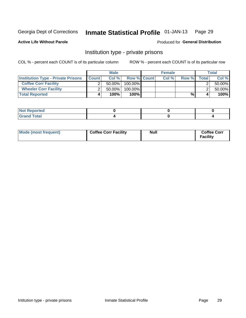#### Inmate Statistical Profile 01-JAN-13 Page 29

Produced for General Distribution

#### **Active Life Without Parole**

### Institution type - private prisons

COL % - percent each COUNT is of its particular column

|                                           |              | <b>Male</b> |                    | <b>Female</b> |       |       | <b>Total</b> |
|-------------------------------------------|--------------|-------------|--------------------|---------------|-------|-------|--------------|
| <b>Institution Type - Private Prisons</b> | <b>Count</b> | Col %       | <b>Row % Count</b> | Col%          | Row % | Total | Col %        |
| <b>Coffee Corr Facility</b>               |              | $50.00\%$   | $100.00\%$         |               |       |       | 50.00%       |
| <b>Wheeler Corr Facility</b>              |              | $50.00\%$   | 100.00%            |               |       |       | 50.00%       |
| <b>Total Reported</b>                     | 4            | 100%        | 100%               |               | %     |       | 100%         |

| <b>Not Reported</b>   |  |  |
|-----------------------|--|--|
| <b>Total</b><br>_____ |  |  |

| Mode (most frequent) | <b>Coffee Corr Facility</b> | <b>Null</b> | <b>Coffee Corr</b><br><b>Facility</b> |
|----------------------|-----------------------------|-------------|---------------------------------------|
|----------------------|-----------------------------|-------------|---------------------------------------|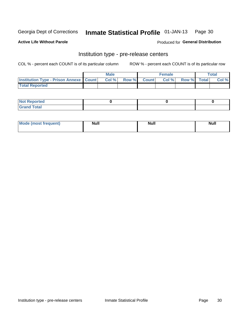## Inmate Statistical Profile 01-JAN-13 Page 30

**Active Life Without Parole** 

Produced for General Distribution

## Institution type - pre-release centers

COL % - percent each COUNT is of its particular column

|                                                   | <b>Male</b> |             | <b>Female</b> |             | <b>Total</b> |
|---------------------------------------------------|-------------|-------------|---------------|-------------|--------------|
| <b>Institution Type - Prison Annexe   Count  </b> | Col%        | Row % Count | Col %         | Row % Total | Col %        |
| <b>Total Reported</b>                             |             |             |               |             |              |

| <b>Reported</b><br>I NOT |  |  |
|--------------------------|--|--|
| <b>Total</b><br>$C$ ren  |  |  |

| $^{\circ}$ Mo<br>frequent)<br>⊥(most | <b>Null</b> | Noll<br><b>vull</b> | <b>Null</b> |
|--------------------------------------|-------------|---------------------|-------------|
|                                      |             |                     |             |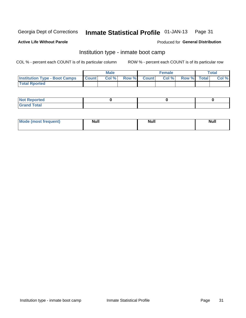#### Inmate Statistical Profile 01-JAN-13 Page 31

#### **Active Life Without Parole**

#### Produced for General Distribution

## Institution type - inmate boot camp

COL % - percent each COUNT is of its particular column

|                                            | <b>Male</b> |             | <b>Female</b> |             | <b>Total</b> |
|--------------------------------------------|-------------|-------------|---------------|-------------|--------------|
| <b>Institution Type - Boot Camps Count</b> | Col %       | Row % Count | Col %         | Row % Total | Col %        |
| <b>Total Rported</b>                       |             |             |               |             |              |

| <b>Not Reported</b> |  |  |
|---------------------|--|--|
| <b>Total</b><br>Cro |  |  |

| <b>I Mode (most frequent)</b> | <b>Null</b> | <b>Null</b> | <b>Null</b> |
|-------------------------------|-------------|-------------|-------------|
|                               |             |             |             |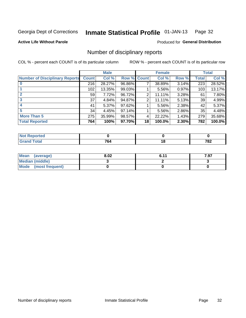#### Inmate Statistical Profile 01-JAN-13 Page 32

#### **Active Life Without Parole**

#### **Produced for General Distribution**

## Number of disciplinary reports

COL % - percent each COUNT is of its particular column

|                                       |              | <b>Male</b> |                    |                 | <b>Female</b> |          |              | <b>Total</b> |
|---------------------------------------|--------------|-------------|--------------------|-----------------|---------------|----------|--------------|--------------|
| <b>Number of Disciplinary Reports</b> | <b>Count</b> | Col %       | <b>Row % Count</b> |                 | Col %         | Row %    | <b>Total</b> | Col %        |
|                                       | 216          | 28.27%      | 96.86%             | 7               | 38.89%        | 3.14%    | 223          | 28.52%       |
|                                       | 102          | 13.35%      | 99.03%             |                 | 5.56%         | 0.97%    | 103          | 13.17%       |
|                                       | 59           | 7.72%       | 96.72%             | 2               | 11.11%        | 3.28%    | 61           | 7.80%        |
| 3                                     | 37           | 4.84%       | 94.87%             | 2               | 11.11%        | $5.13\%$ | 39           | 4.99%        |
|                                       | 41           | 5.37%       | 97.62%             |                 | 5.56%         | 2.38%    | 42           | 5.37%        |
| 5                                     | 34           | 4.45%       | 97.14%             |                 | 5.56%         | 2.86%    | 35           | 4.48%        |
| <b>More Than 5</b>                    | 275          | 35.99%      | 98.57%             | 4               | 22.22%        | 1.43%    | 279          | 35.68%       |
| <b>Total Reported</b>                 | 764          | 100%        | 97.70%             | 18 <sup>1</sup> | 100.0%        | 2.30%    | 782          | 100.0%       |

| N0<br>тео |     |        |     |
|-----------|-----|--------|-----|
| Total     | 764 | $\sim$ | 782 |

| Mean (average)       | 8.02 | R 11 | 7.97 |
|----------------------|------|------|------|
| Median (middle)      |      |      |      |
| Mode (most frequent) |      |      |      |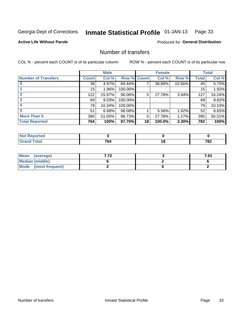#### Inmate Statistical Profile 01-JAN-13 Page 33

**Active Life Without Parole** 

**Produced for General Distribution** 

## Number of transfers

COL % - percent each COUNT is of its particular column

|                            |              | <b>Male</b> |             |    | <b>Female</b> |        |              | <b>Total</b> |
|----------------------------|--------------|-------------|-------------|----|---------------|--------|--------------|--------------|
| <b>Number of Transfers</b> | <b>Count</b> | Col %       | Row % Count |    | Col %         | Row %  | <b>Total</b> | Col %        |
|                            | 38           | 4.97%       | 84.44%      | 7  | 38.89%        | 15.56% | 45           | 5.75%        |
|                            | 15           | 1.96%       | 100.00%     |    |               |        | 15           | 1.92%        |
| $\mathbf{2}$               | 122          | 15.97%      | 96.06%      | 5  | 27.78%        | 3.94%  | 127          | 16.24%       |
| 3                          | 69           | 9.03%       | 100.00%     |    |               |        | 69           | 8.82%        |
|                            | 79           | 10.34%      | 100.00%     |    |               |        | 79           | 10.10%       |
| 5                          | 51           | 6.68%       | 98.08%      |    | 5.56%         | 1.92%  | 52           | 6.65%        |
| <b>More Than 5</b>         | 390          | 51.05%      | 98.73%      | 5  | 27.78%        | 1.27%  | 395          | 50.51%       |
| <b>Total Reported</b>      | 764          | 100%        | 97.70%      | 18 | 100.0%        | 2.30%  | 782          | 100%         |

| prted<br>NOT I |           |             |
|----------------|-----------|-------------|
| Total          | 70<br>104 | 782<br>____ |

| Mean (average)       |  | 7.61 |
|----------------------|--|------|
| Median (middle)      |  |      |
| Mode (most frequent) |  |      |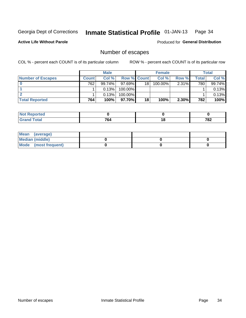#### Inmate Statistical Profile 01-JAN-13 Page 34

**Active Life Without Parole** 

Produced for General Distribution

## Number of escapes

COL % - percent each COUNT is of its particular column

|                          |              | <b>Male</b> |                    |    | <b>Female</b> |          |       | Total  |
|--------------------------|--------------|-------------|--------------------|----|---------------|----------|-------|--------|
| <b>Number of Escapes</b> | <b>Count</b> | Col%        | <b>Row % Count</b> |    | Col %         | Row %    | Total | Col %  |
|                          | 762          | $99.74\%$   | $97.69\%$          | 18 | $100.00\%$    | $2.31\%$ | 780   | 99.74% |
|                          |              | 0.13%       | 100.00%            |    |               |          |       | 0.13%  |
|                          |              | 0.13%       | 100.00%            |    |               |          |       | 0.13%  |
| <b>Total Reported</b>    | 764          | 100%        | $97.70\%$          | 18 | 100%          | 2.30%    | 782   | 100%   |

| <b>Not Reported</b>   |            |    |     |
|-----------------------|------------|----|-----|
| <b>Total</b><br>Grand | 701<br>704 | יי | 782 |

| Mean (average)       |  |  |
|----------------------|--|--|
| Median (middle)      |  |  |
| Mode (most frequent) |  |  |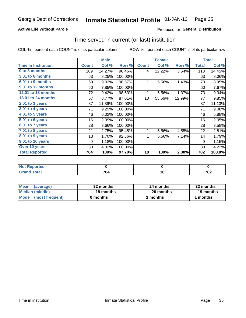#### Inmate Statistical Profile 01-JAN-13 Page 35

#### **Active Life Without Parole**

#### Produced for General Distribution

### Time served in current (or last) institution

COL % - percent each COUNT is of its particular column

|                              |              | <b>Male</b> |         |                 | <b>Female</b> |        |              | <b>Total</b> |
|------------------------------|--------------|-------------|---------|-----------------|---------------|--------|--------------|--------------|
| <b>Time In Institution</b>   | <b>Count</b> | Col %       | Row %   | <b>Count</b>    | Col %         | Row %  | <b>Total</b> | Col %        |
| 0 to 3 months                | 109          | 14.27%      | 96.46%  | 4               | 22.22%        | 3.54%  | 113          | 14.45%       |
| 3.01 to 6 months             | 63           | 8.25%       | 100.00% |                 |               |        | 63           | 8.06%        |
| 6.01 to 9 months             | 69           | 9.03%       | 98.57%  | 1               | 5.56%         | 1.43%  | 70           | 8.95%        |
| 9.01 to 12 months            | 60           | 7.85%       | 100.00% |                 |               |        | 60           | 7.67%        |
| 12.01 to 18 months           | 72           | 9.42%       | 98.63%  | 1               | 5.56%         | 1.37%  | 73           | 9.34%        |
| <b>18.01 to 24 months</b>    | 67           | 8.77%       | 87.01%  | 10 <sup>1</sup> | 55.56%        | 12.99% | 77           | 9.85%        |
| $2.01$ to 3 years            | 87           | 11.39%      | 100.00% |                 |               |        | 87           | 11.13%       |
| 3.01 to 4 years              | 71           | 9.29%       | 100.00% |                 |               |        | 71           | 9.08%        |
| $4.01$ to 5 years            | 46           | 6.02%       | 100.00% |                 |               |        | 46           | 5.88%        |
| $\overline{5.01}$ to 6 years | 16           | 2.09%       | 100.00% |                 |               |        | 16           | 2.05%        |
| 6.01 to 7 years              | 28           | 3.66%       | 100.00% |                 |               |        | 28           | 3.58%        |
| 7.01 to 8 years              | 21           | 2.75%       | 95.45%  | 1               | 5.56%         | 4.55%  | 22           | 2.81%        |
| $8.01$ to 9 years            | 13           | 1.70%       | 92.86%  | 1               | 5.56%         | 7.14%  | 14           | 1.79%        |
| 9.01 to 10 years             | 9            | 1.18%       | 100.00% |                 |               |        | 9            | 1.15%        |
| Over 10 years                | 33           | 4.32%       | 100.00% |                 |               |        | 33           | 4.22%        |
| <b>Total Reported</b>        | 764          | 100%        | 97.70%  | 18              | 100%          | 2.30%  | 782          | 100.0%       |

| المستقصد<br>rtea<br>NOT |             |                      |
|-------------------------|-------------|----------------------|
| $C = 4 - 7$             | 764<br>____ | 782<br>$\sim$ $\sim$ |

| <b>Mean</b><br>(average) | 32 months | 24 months | 32 months |
|--------------------------|-----------|-----------|-----------|
| Median (middle)          | 19 months | 20 months | 19 months |
| Mode (most frequent)     | 0 months  | 1 months  | 1 months  |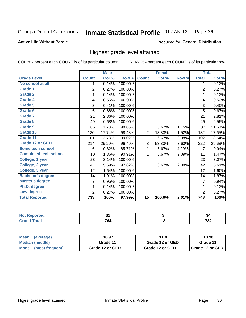#### Inmate Statistical Profile 01-JAN-13 Page 36

#### **Active Life Without Parole**

#### **Produced for General Distribution**

## Highest grade level attained

COL % - percent each COUNT is of its particular column

|                              |                 | <b>Male</b> |         |                 | <b>Female</b> |        |                | <b>Total</b> |
|------------------------------|-----------------|-------------|---------|-----------------|---------------|--------|----------------|--------------|
| <b>Grade Level</b>           | <b>Count</b>    | Col %       | Row %   | <b>Count</b>    | Col %         | Row %  | <b>Total</b>   | Col %        |
| No school at all             | 1               | 0.14%       | 100.00% |                 |               |        | 1              | 0.13%        |
| <b>Grade 1</b>               | $\overline{c}$  | 0.27%       | 100.00% |                 |               |        | $\overline{2}$ | 0.27%        |
| <b>Grade 2</b>               | 1               | 0.14%       | 100.00% |                 |               |        | 1              | 0.13%        |
| Grade 4                      | 4               | 0.55%       | 100.00% |                 |               |        | 4              | 0.53%        |
| Grade 5                      | 3               | 0.41%       | 100.00% |                 |               |        | 3              | 0.40%        |
| Grade 6                      | 5               | 0.68%       | 100.00% |                 |               |        | 5              | 0.67%        |
| <b>Grade 7</b>               | 21              | 2.86%       | 100.00% |                 |               |        | 21             | 2.81%        |
| <b>Grade 8</b>               | 49              | 6.68%       | 100.00% |                 |               |        | 49             | 6.55%        |
| <b>Grade 9</b>               | 86              | 11.73%      | 98.85%  | 1               | 6.67%         | 1.15%  | 87             | 11.63%       |
| Grade 10                     | 130             | 17.74%      | 98.48%  | $\overline{c}$  | 13.33%        | 1.52%  | 132            | 17.65%       |
| Grade 11                     | 101             | 13.78%      | 99.02%  | 1               | 6.67%         | 0.98%  | 102            | 13.64%       |
| <b>Grade 12 or GED</b>       | 214             | 29.20%      | 96.40%  | 8               | 53.33%        | 3.60%  | 222            | 29.68%       |
| <b>Some tech school</b>      | 6               | 0.82%       | 85.71%  | 1               | 6.67%         | 14.29% | 7              | 0.94%        |
| <b>Completed tech school</b> | 10 <sup>1</sup> | 1.36%       | 90.91%  | 1               | 6.67%         | 9.09%  | 11             | 1.47%        |
| College, 1 year              | 23              | 3.14%       | 100.00% |                 |               |        | 23             | 3.07%        |
| College, 2 year              | 41              | 5.59%       | 97.62%  | 1               | 6.67%         | 2.38%  | 42             | 5.61%        |
| College, 3 year              | 12              | 1.64%       | 100.00% |                 |               |        | 12             | 1.60%        |
| <b>Bachelor's degree</b>     | 14              | 1.91%       | 100.00% |                 |               |        | 14             | 1.87%        |
| <b>Master's degree</b>       | 7               | 0.95%       | 100.00% |                 |               |        | 7              | 0.94%        |
| Ph.D. degree                 | 1               | 0.14%       | 100.00% |                 |               |        | 1              | 0.13%        |
| Law degree                   | 2               | 0.27%       | 100.00% |                 |               |        | $\overline{2}$ | 0.27%        |
| <b>Total Reported</b>        | 733             | 100%        | 97.99%  | $\overline{15}$ | 100.0%        | 2.01%  | 748            | 100%         |

| <b>Reported</b> | $\sim$ |    | יט. |
|-----------------|--------|----|-----|
| <b>ota</b>      | 764    | ιo | 782 |

| <b>Mean</b><br>(average)       | 10.97           | 11.8            | 10.98             |
|--------------------------------|-----------------|-----------------|-------------------|
| Median (middle)                | Grade 11        | Grade 12 or GED | Grade 11          |
| <b>Mode</b><br>(most frequent) | Grade 12 or GED | Grade 12 or GED | I Grade 12 or GED |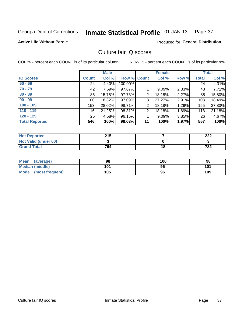#### Inmate Statistical Profile 01-JAN-13 Page 37

### **Active Life Without Parole**

#### Produced for General Distribution

## Culture fair IQ scores

COL % - percent each COUNT is of its particular column

|                       |              | <b>Male</b> |                    |                | <b>Female</b> |          |              | <b>Total</b> |
|-----------------------|--------------|-------------|--------------------|----------------|---------------|----------|--------------|--------------|
| <b>IQ Scores</b>      | <b>Count</b> | Col %       | <b>Row % Count</b> |                | Col %         | Row %    | <b>Total</b> | Col %        |
| $60 - 69$             | 24           | 4.40%       | 100.00%            |                |               |          | 24           | 4.31%        |
| $70 - 79$             | 42           | 7.69%       | 97.67%             |                | 9.09%         | 2.33%    | 43           | 7.72%        |
| $80 - 89$             | 86           | 15.75%      | 97.73%             | 2              | 18.18%        | 2.27%    | 88           | 15.80%       |
| $90 - 99$             | 100          | 18.32%      | 97.09%             | 3              | 27.27%        | $2.91\%$ | 103          | 18.49%       |
| $100 - 109$           | 153          | 28.02%      | 98.71%             | $\overline{2}$ | 18.18%        | 1.29%    | 155          | 27.83%       |
| $110 - 119$           | 116          | 21.25%      | 98.31%             | 2              | 18.18%        | 1.69%    | 118          | 21.18%       |
| $120 - 129$           | 25           | 4.58%       | 96.15%             |                | 9.09%         | $3.85\%$ | 26           | 4.67%        |
| <b>Total Reported</b> | 546          | 100%        | 98.03%             | 11             | 100%          | 1.97%    | 557          | 100%         |

| <b>Not Reported</b>         | 215 |    | າາາ<br>LLL |
|-----------------------------|-----|----|------------|
| <b>Not Valid (under 60)</b> |     |    |            |
| <b>Grand Total</b>          | 764 | 18 | 782        |

| Mean (average)       | 98  | 100 | 98  |
|----------------------|-----|-----|-----|
| Median (middle)      | 101 | 96  | 101 |
| Mode (most frequent) | 105 | 96  | 105 |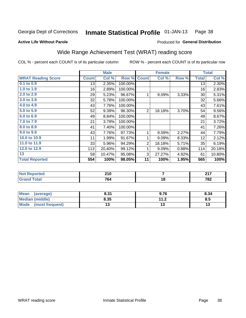#### Inmate Statistical Profile 01-JAN-13 Page 38

#### **Active Life Without Parole**

## Produced for General Distribution

## Wide Range Achievement Test (WRAT) reading score

COL % - percent each COUNT is of its particular column

ROW % - percent each COUNT is of its particular row

 $\overline{18}$ 

|                           |              | <b>Male</b> |         |              | <b>Female</b>           |       |              | <b>Total</b> |
|---------------------------|--------------|-------------|---------|--------------|-------------------------|-------|--------------|--------------|
| <b>WRAT Reading Score</b> | <b>Count</b> | Col %       | Row %   | <b>Count</b> | Col %                   | Row % | <b>Total</b> | Col %        |
| 0.1 to 0.9                | 13           | 2.35%       | 100.00% |              |                         |       | 13           | 2.30%        |
| 1.0 to 1.9                | 16           | 2.89%       | 100.00% |              |                         |       | 16           | 2.83%        |
| 2.0 to 2.9                | 29           | 5.23%       | 96.67%  | 1            | 9.09%                   | 3.33% | 30           | 5.31%        |
| 3.0 to 3.9                | 32           | 5.78%       | 100.00% |              |                         |       | 32           | 5.66%        |
| 4.0 to 4.9                | 43           | 7.76%       | 100.00% |              |                         |       | 43           | 7.61%        |
| 5.0 to 5.9                | 52           | 9.39%       | 96.30%  | 2            | 18.18%                  | 3.70% | 54           | 9.56%        |
| 6.0 to 6.9                | 49           | 8.84%       | 100.00% |              |                         |       | 49           | 8.67%        |
| 7.0 to 7.9                | 21           | 3.79%       | 100.00% |              |                         |       | 21           | 3.72%        |
| 8.0 to 8.9                | 41           | 7.40%       | 100.00% |              |                         |       | 41           | 7.26%        |
| 9.0 to 9.9                | 43           | 7.76%       | 97.73%  | 1            | 9.09%                   | 2.27% | 44           | 7.79%        |
| 10.0 to 10.9              | 11           | 1.99%       | 91.67%  | 1            | 9.09%                   | 8.33% | 12           | 2.12%        |
| 11.0 to 11.9              | 33           | 5.96%       | 94.29%  | 2            | 18.18%                  | 5.71% | 35           | 6.19%        |
| 12.0 to 12.9              | 113          | 20.40%      | 99.12%  | 1            | 9.09%                   | 0.88% | 114          | 20.18%       |
| 13                        | 58           | 10.47%      | 95.08%  | 3            | 27.27%                  | 4.92% | 61           | 10.80%       |
| <b>Total Reported</b>     | 554          | 100%        | 98.05%  | 11           | 100%                    | 1.95% | 565          | 100%         |
|                           |              |             |         |              |                         |       |              |              |
| <b>Not Reported</b>       |              | 210         |         |              | $\overline{\mathbf{7}}$ |       |              | 217          |

| Mean<br>(average)       | 8.31 | 9.76                 | 8.34 |
|-------------------------|------|----------------------|------|
| <b>Median (middle)</b>  | 8.35 | 11 J<br>. <i>. .</i> | o.u  |
| Mode<br>(most frequent) | . پ  |                      | w    |

764

**Grand Total** 

 $782$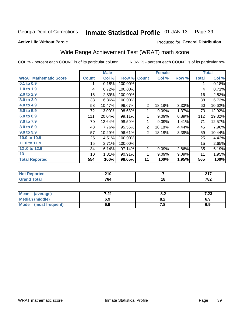#### **Inmate Statistical Profile 01-JAN-13** Page 39

#### **Active Life Without Parole**

### Produced for General Distribution

## Wide Range Achievement Test (WRAT) math score

COL % - percent each COUNT is of its particular column

|                              |              | <b>Male</b>      |         |                 | <b>Female</b> |       |              | <b>Total</b> |
|------------------------------|--------------|------------------|---------|-----------------|---------------|-------|--------------|--------------|
| <b>WRAT Mathematic Score</b> | <b>Count</b> | Col %            | Row %   | <b>Count</b>    | Col %         | Row % | <b>Total</b> | Col %        |
| $0.1$ to $0.9$               | 1            | 0.18%            | 100.00% |                 |               |       | 1            | 0.18%        |
| 1.0 to 1.9                   | 4            | 0.72%            | 100.00% |                 |               |       | 4            | 0.71%        |
| 2.0 to 2.9                   | 16           | 2.89%            | 100.00% |                 |               |       | 16           | 2.83%        |
| 3.0 to 3.9                   | 38           | 6.86%            | 100.00% |                 |               |       | 38           | 6.73%        |
| 4.0 to 4.9                   | 58           | 10.47%           | 96.67%  | $\mathbf 2$     | 18.18%        | 3.33% | 60           | 10.62%       |
| 5.0 to 5.9                   | 72           | 13.00%           | 98.63%  | 1               | 9.09%         | 1.37% | 73           | 12.92%       |
| 6.0 to 6.9                   | 111          | 20.04%           | 99.11%  | 1               | 9.09%         | 0.89% | 112          | 19.82%       |
| 7.0 to 7.9                   | 70           | 12.64%           | 98.59%  | 1               | 9.09%         | 1.41% | 71           | 12.57%       |
| 8.0 to 8.9                   | 43           | 7.76%            | 95.56%  | $\mathbf 2$     | 18.18%        | 4.44% | 45           | 7.96%        |
| 9.0 to 9.9                   | 57           | 10.29%           | 96.61%  | $\overline{2}$  | 18.18%        | 3.39% | 59           | 10.44%       |
| 10.0 to 10.9                 | 25           | 4.51%            | 100.00% |                 |               |       | 25           | 4.42%        |
| 11.0 to 11.9                 | 15           | 2.71%            | 100.00% |                 |               |       | 15           | 2.65%        |
| 12.0 to 12.9                 | 34           | 6.14%            | 97.14%  | 1               | 9.09%         | 2.86% | 35           | 6.19%        |
| 13                           | 10           | 1.81%            | 90.91%  | 1               | 9.09%         | 9.09% | 11           | 1.95%        |
| <b>Total Reported</b>        | 554          | 100%             | 98.05%  | $\overline{11}$ | 100%          | 1.95% | 565          | 100%         |
|                              |              |                  |         |                 |               |       |              |              |
| <b>Not Reported</b>          |              | $\overline{210}$ |         |                 | 7             |       |              | 217          |
| <b>Grand Total</b>           |              | 764              |         |                 | 18            |       |              | 782          |
|                              |              |                  |         |                 |               |       |              |              |
| <b>Mean</b><br>(average)     |              | 7.21             |         |                 | 8.2           |       |              | 7.23         |

| ∣Mean<br>(average)             | 7 94<br>.Z I | О. 4 | י ל<br>د∡. ا |
|--------------------------------|--------------|------|--------------|
| <b>Median (middle)</b>         | 6.9          | О.Д  | 6.9          |
| <b>Mode</b><br>(most frequent) | 6.9          |      | 6.9          |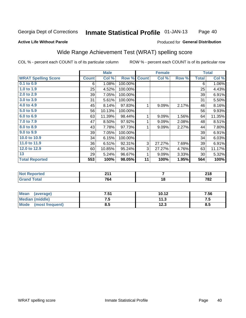#### Inmate Statistical Profile 01-JAN-13 Page 40

#### **Active Life Without Parole**

### Produced for General Distribution

## Wide Range Achievement Test (WRAT) spelling score

COL % - percent each COUNT is of its particular column

ROW % - percent each COUNT is of its particular row

 $11.3$ 

 $\overline{12.3}$ 

|                            |              | <b>Male</b> |         |              | <b>Female</b> |       |              | <b>Total</b> |
|----------------------------|--------------|-------------|---------|--------------|---------------|-------|--------------|--------------|
| <b>WRAT Spelling Score</b> | <b>Count</b> | Col %       | Row %   | <b>Count</b> | Col %         | Row % | <b>Total</b> | Col %        |
| $0.1$ to $0.9$             | 6            | 1.08%       | 100.00% |              |               |       | 6            | 1.06%        |
| 1.0 to $1.9$               | 25           | 4.52%       | 100.00% |              |               |       | 25           | 4.43%        |
| 2.0 to 2.9                 | 39           | 7.05%       | 100.00% |              |               |       | 39           | 6.91%        |
| 3.0 to 3.9                 | 31           | 5.61%       | 100.00% |              |               |       | 31           | 5.50%        |
| 4.0 to 4.9                 | 45           | 8.14%       | 97.83%  | 1            | 9.09%         | 2.17% | 46           | 8.16%        |
| 5.0 to 5.9                 | 56           | 10.13%      | 100.00% |              |               |       | 56           | 9.93%        |
| 6.0 to 6.9                 | 63           | 11.39%      | 98.44%  | 1            | 9.09%         | 1.56% | 64           | 11.35%       |
| 7.0 to 7.9                 | 47           | 8.50%       | 97.92%  | 1            | 9.09%         | 2.08% | 48           | 8.51%        |
| 8.0 to 8.9                 | 43           | 7.78%       | 97.73%  | 1            | 9.09%         | 2.27% | 44           | 7.80%        |
| 9.0 to 9.9                 | 39           | 7.05%       | 100.00% |              |               |       | 39           | 6.91%        |
| 10.0 to 10.9               | 34           | 6.15%       | 100.00% |              |               |       | 34           | 6.03%        |
| 11.0 to 11.9               | 36           | 6.51%       | 92.31%  | 3            | 27.27%        | 7.69% | 39           | 6.91%        |
| 12.0 to 12.9               | 60           | 10.85%      | 95.24%  | 3            | 27.27%        | 4.76% | 63           | 11.17%       |
| 13                         | 29           | 5.24%       | 96.67%  | 1            | 9.09%         | 3.33% | 30           | 5.32%        |
| <b>Total Reported</b>      | 553          | 100%        | 98.05%  | 11           | 100%          | 1.95% | 564          | 100%         |
|                            |              |             |         |              |               |       |              |              |
| <b>Not Reported</b>        |              | 211         |         |              | 7             |       |              | 218          |
| <b>Grand Total</b>         |              | 764         |         |              | 18            |       |              | 782          |
|                            |              |             |         |              |               |       |              |              |
| <b>Mean</b><br>(average)   |              | 7.51        |         |              | 10.12         |       |              | 7.56         |

 $7.5$ 

 $\overline{8.5}$ 

**Median (middle)** 

(most frequent)

**Mode** 

 $7.5$ 

 $8.5$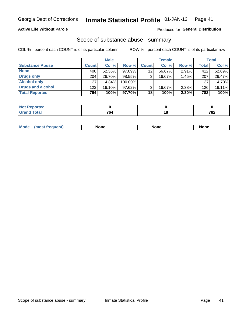### **Active Life Without Parole**

### Produced for General Distribution

## Scope of substance abuse - summary

COL % - percent each COUNT is of its particular column

|                        |              | <b>Male</b> |         |              | <b>Female</b> |          |       | <b>Total</b> |
|------------------------|--------------|-------------|---------|--------------|---------------|----------|-------|--------------|
| <b>Substance Abuse</b> | <b>Count</b> | Col %       | Row %   | <b>Count</b> | Col %         | Row %    | Total | Col %        |
| <b>None</b>            | 400          | 52.36%      | 97.09%  | 12           | 66.67%        | $2.91\%$ | 412   | 52.69%       |
| <b>Drugs only</b>      | 204          | 26.70%      | 98.55%  |              | 16.67%        | 1.45%    | 207   | 26.47%       |
| <b>Alcohol only</b>    | 37           | 4.84%       | 100.00% |              |               |          | 37    | 4.73%        |
| Drugs and alcohol      | 123          | $16.10\%$   | 97.62%  |              | 16.67%        | 2.38%    | 126   | 16.11%       |
| <b>Total Reported</b>  | 764          | 100%        | 97.70%  | 18           | 100%          | 2.30%    | 782   | 100%         |

| <b>Not</b><br>Reported       |    |     |
|------------------------------|----|-----|
| <b>Total</b><br><b>Grand</b> | ¬^ | 782 |

|  | Mode | None | <b>None</b> | None |
|--|------|------|-------------|------|
|--|------|------|-------------|------|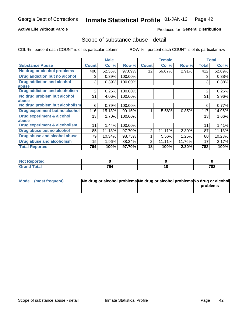### **Active Life Without Parole**

### Produced for General Distribution

## Scope of substance abuse - detail

COL % - percent each COUNT is of its particular column

|                                         |                | <b>Male</b> |         |              | <b>Female</b> |        |              | <b>Total</b> |
|-----------------------------------------|----------------|-------------|---------|--------------|---------------|--------|--------------|--------------|
| <b>Substance Abuse</b>                  | <b>Count</b>   | Col %       | Row %   | <b>Count</b> | Col %         | Row %  | <b>Total</b> | Col %        |
| No drug or alcohol problems             | 400            | 52.36%      | 97.09%  | 12           | 66.67%        | 2.91%  | 412          | 52.69%       |
| Drug addiction but no alcohol           | 3              | 0.39%       | 100.00% |              |               |        | 3            | 0.38%        |
| <b>Drug addiction and alcohol</b>       | 3              | 0.39%       | 100.00% |              |               |        | 3            | 0.38%        |
| abuse                                   |                |             |         |              |               |        |              |              |
| <b>Drug addiction and alcoholism</b>    | $\overline{2}$ | 0.26%       | 100.00% |              |               |        | 2            | 0.26%        |
| No drug problem but alcohol             | 31             | 4.06%       | 100.00% |              |               |        | 31           | 3.96%        |
| abuse                                   |                |             |         |              |               |        |              |              |
| No drug problem but alcoholism          | 6              | 0.79%       | 100.00% |              |               |        | 6            | 0.77%        |
| Drug experiment but no alcohol          | 116            | 15.18%      | 99.15%  |              | 5.56%         | 0.85%  | 117          | 14.96%       |
| <b>Drug experiment &amp; alcohol</b>    | 13             | 1.70%       | 100.00% |              |               |        | 13           | 1.66%        |
| abuse                                   |                |             |         |              |               |        |              |              |
| <b>Drug experiment &amp; alcoholism</b> | 11             | 1.44%       | 100.00% |              |               |        | 11           | 1.41%        |
| Drug abuse but no alcohol               | 85             | 11.13%      | 97.70%  | 2            | 11.11%        | 2.30%  | 87           | 11.13%       |
| Drug abuse and alcohol abuse            | 79             | 10.34%      | 98.75%  |              | 5.56%         | 1.25%  | 80           | 10.23%       |
| <b>Drug abuse and alcoholism</b>        | 15             | 1.96%       | 88.24%  | 2            | 11.11%        | 11.76% | 17           | 2.17%        |
| <b>Total Reported</b>                   | 764            | 100%        | 97.70%  | 18           | 100%          | 2.30%  | 782          | 100%         |

| portea |               |                 |     |
|--------|---------------|-----------------|-----|
| $\sim$ | 764           | $\cdot$ $\cdot$ | 702 |
| _____  | $\sim$ $\sim$ |                 | 10Z |

| Mode (most frequent) | No drug or alcohol problems No drug or alcohol problems No drug or alcohol |          |
|----------------------|----------------------------------------------------------------------------|----------|
|                      |                                                                            | problems |
|                      |                                                                            |          |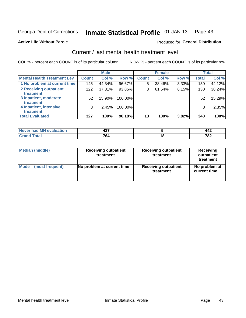#### Inmate Statistical Profile 01-JAN-13 Page 43

#### **Active Life Without Parole**

### **Produced for General Distribution**

## Current / last mental health treatment level

COL % - percent each COUNT is of its particular column

|                                    |              | <b>Male</b> |         |              | <b>Female</b> |       |              | <b>Total</b> |
|------------------------------------|--------------|-------------|---------|--------------|---------------|-------|--------------|--------------|
| <b>Mental Health Treatment Lev</b> | <b>Count</b> | Col %       | Row %   | <b>Count</b> | Col %         | Row % | <b>Total</b> | Col %        |
| 1 No problem at current time       | 145          | 44.34%      | 96.67%  | 5            | 38.46%        | 3.33% | 150          | 44.12%       |
| 2 Receiving outpatient             | 122          | 37.31%      | 93.85%  | 8            | 61.54%        | 6.15% | 130          | 38.24%       |
| <b>Treatment</b>                   |              |             |         |              |               |       |              |              |
| 3 Inpatient, moderate              | 52           | 15.90%      | 100.00% |              |               |       | 52           | 15.29%       |
| <b>Treatment</b>                   |              |             |         |              |               |       |              |              |
| 4 Inpatient, intensive             | 8            | 2.45%       | 100.00% |              |               |       | 8            | 2.35%        |
| <b>Treatment</b>                   |              |             |         |              |               |       |              |              |
| <b>Total Evaluated</b>             | 327          | 100%        | 96.18%  | 13           | 100%          | 3.82% | 340          | 100%         |

| Never had MH evaluation | $\overline{\phantom{a}}$ |    | <br>∡44      |
|-------------------------|--------------------------|----|--------------|
|                         | 701<br>'64               | טנ | 700<br>1 O Z |

| <b>Median (middle)</b> | <b>Receiving outpatient</b><br>treatment | <b>Receiving outpatient</b><br>treatment | <b>Receiving</b><br>outpatient<br>treatment |  |  |
|------------------------|------------------------------------------|------------------------------------------|---------------------------------------------|--|--|
| <b>Mode</b>            | No problem at current time               | <b>Receiving outpatient</b>              | No problem at                               |  |  |
| (most frequent)        |                                          | treatment                                | current time                                |  |  |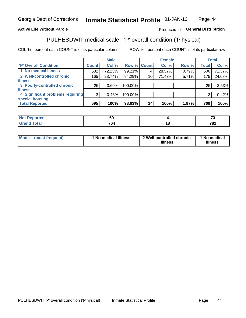#### **Inmate Statistical Profile 01-JAN-13** Page 44

### **Active Life Without Parole**

### Produced for General Distribution

## PULHESDWIT medical scale - 'P' overall condition ('P'hysical)

COL % - percent each COUNT is of its particular column

|                                  |         | <b>Male</b> |             |    | <b>Female</b> |       |              | <b>Total</b> |
|----------------------------------|---------|-------------|-------------|----|---------------|-------|--------------|--------------|
| 'P' Overall Condition            | Count l | Col %       | Row % Count |    | Col %         | Row % | <b>Total</b> | Col %        |
| 1 No medical illness             | 502     | 72.23%      | 99.21%      |    | 28.57%        | 0.79% | 506          | 71.37%       |
| 2 Well-controlled chronic        | 165     | 23.74%      | 94.29%      | 10 | 71.43%        | 5.71% | 175          | 24.68%       |
| <b>illness</b>                   |         |             |             |    |               |       |              |              |
| 3 Poorly-controlled chronic      | 25      | $3.60\%$    | 100.00%     |    |               |       | 25           | 3.53%        |
| <b>illness</b>                   |         |             |             |    |               |       |              |              |
| 4 Significant problems requiring | 3       | 0.43%       | 100.00%     |    |               |       | 3            | 0.42%        |
| special housing                  |         |             |             |    |               |       |              |              |
| <b>Total Reported</b>            | 695     | 100%        | 98.03%      | 14 | 100%          | 1.97% | 709          | 100%         |

| tao.   | 69                  |    | $\sim$      |
|--------|---------------------|----|-------------|
| ______ | 7c<br>' 04<br>_____ | __ | 700<br>1 OZ |

| <b>Mode</b> | (most frequent) | 1 No medical illness | 2 Well-controlled chronic<br>illness | 1 No medical<br>illness |
|-------------|-----------------|----------------------|--------------------------------------|-------------------------|
|-------------|-----------------|----------------------|--------------------------------------|-------------------------|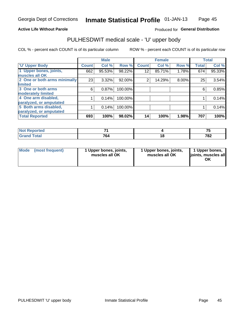### **Active Life Without Parole**

## Produced for General Distribution

# PULHESDWIT medical scale - 'U' upper body

COL % - percent each COUNT is of its particular column

|                              |              | <b>Male</b> |         |              | <b>Female</b> |       |              | <b>Total</b> |
|------------------------------|--------------|-------------|---------|--------------|---------------|-------|--------------|--------------|
| <b>'U' Upper Body</b>        | <b>Count</b> | Col %       | Row %   | <b>Count</b> | Col %         | Row % | <b>Total</b> | Col %        |
| 1 Upper bones, joints,       | 662          | 95.53%      | 98.22%  | 12           | 85.71%        | 1.78% | 674          | 95.33%       |
| muscles all OK               |              |             |         |              |               |       |              |              |
| 2 One or both arms minimally | 23           | 3.32%       | 92.00%  | 2            | 14.29%        | 8.00% | 25           | 3.54%        |
| limited                      |              |             |         |              |               |       |              |              |
| 3 One or both arms           | 6            | 0.87%       | 100.00% |              |               |       | 6            | 0.85%        |
| moderately limited           |              |             |         |              |               |       |              |              |
| 4 One arm disabled,          |              | 0.14%       | 100.00% |              |               |       |              | 0.14%        |
| paralyzed, or amputated      |              |             |         |              |               |       |              |              |
| 5 Both arms disabled,        |              | 0.14%       | 100.00% |              |               |       |              | 0.14%        |
| paralyzed, or amputated      |              |             |         |              |               |       |              |              |
| <b>Total Reported</b>        | 693          | 100%        | 98.02%  | 14           | 100%          | 1.98% | 707          | 100%         |

| <b>Not Reported</b> |     |    | --         |
|---------------------|-----|----|------------|
| <b>Grand Total</b>  | 764 | .u | 707<br>70Z |

| Mode<br>(most frequent) | 1 Upper bones, joints,<br>muscles all OK | 1 Upper bones, joints,<br>muscles all OK | 1 Upper bones,<br>joints, muscles all<br>ΟK |
|-------------------------|------------------------------------------|------------------------------------------|---------------------------------------------|
|-------------------------|------------------------------------------|------------------------------------------|---------------------------------------------|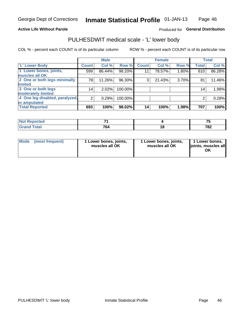#### **Active Life Without Parole**

### Produced for General Distribution

## PULHESDWIT medical scale - 'L' lower body

COL % - percent each COUNT is of its particular column

|                                |                | <b>Male</b> |         |              | <b>Female</b> |       |                 | <b>Total</b> |
|--------------------------------|----------------|-------------|---------|--------------|---------------|-------|-----------------|--------------|
| 'L' Lower Body                 | <b>Count</b>   | Col %       | Row %   | <b>Count</b> | Col %         | Row % | <b>Total</b>    | Col %        |
| 1 Lower bones, joints,         | 599            | 86.44%      | 98.20%  | 11           | 78.57%        | 1.80% | 610             | 86.28%       |
| muscles all OK                 |                |             |         |              |               |       |                 |              |
| 2 One or both legs minimally   | 78             | 11.26%      | 96.30%  | 3            | 21.43%        | 3.70% | 81              | 11.46%       |
| limited                        |                |             |         |              |               |       |                 |              |
| 3 One or both legs             | 14             | 2.02%       | 100.00% |              |               |       | 14 <sub>1</sub> | 1.98%        |
| moderately limited             |                |             |         |              |               |       |                 |              |
| 4 One leg disabled, paralyzed, | $\overline{2}$ | 0.29%       | 100.00% |              |               |       | 2               | 0.28%        |
| or amputated                   |                |             |         |              |               |       |                 |              |
| <b>Total Reported</b>          | 693            | 100%        | 98.02%  | 14           | 100%          | 1.98% | 707             | 100%         |

| prted<br><b>NOT REDO</b> |            | --  |
|--------------------------|------------|-----|
| <b>Total</b><br>------   | 70.<br>104 | 782 |

| Mode | (most frequent) | 1 Lower bones, joints,<br>muscles all OK | 1 Lower bones, joints,<br>muscles all OK | 1 Lower bones,<br>ljoints, muscles all<br>ΟK |
|------|-----------------|------------------------------------------|------------------------------------------|----------------------------------------------|
|------|-----------------|------------------------------------------|------------------------------------------|----------------------------------------------|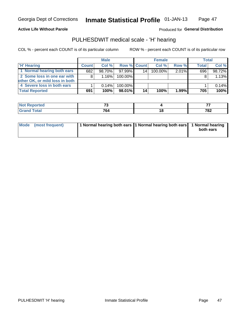#### **Active Life Without Parole**

### Produced for General Distribution

## PULHESDWIT medical scale - 'H' hearing

COL % - percent each COUNT is of its particular column

|                                | <b>Male</b>  |        | <b>Female</b>      |                 |         | <b>Total</b> |              |        |
|--------------------------------|--------------|--------|--------------------|-----------------|---------|--------------|--------------|--------|
| <b>'H' Hearing</b>             | <b>Count</b> | Col %  | <b>Row % Count</b> |                 | Col %   | Row %        | <b>Total</b> | Col %  |
| 1 Normal hearing both ears     | 682          | 98.70% | 97.99%             | 14              | 100.00% | 2.01%        | 696          | 98.72% |
| 2 Some loss in one ear with    | 8            | 1.16%  | 100.00%            |                 |         |              |              | 1.13%  |
| other OK, or mild loss in both |              |        |                    |                 |         |              |              |        |
| 4 Severe loss in both ears     |              | 0.14%  | 100.00%            |                 |         |              |              | 0.14%  |
| <b>Total Reported</b>          | 691          | 100%   | 98.01%             | 14 <sub>1</sub> | 100%    | $1.99\%$     | 705          | 100%   |

| rtea | $-$         |    | --  |
|------|-------------|----|-----|
| أحقت | 701<br>. O4 | ıα | 782 |

| Mode (most frequent) | 1 Normal hearing both ears 11 Normal hearing both ears 1 Normal hearing |           |
|----------------------|-------------------------------------------------------------------------|-----------|
|                      |                                                                         | both ears |
|                      |                                                                         |           |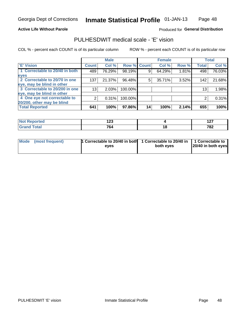#### **Active Life Without Parole**

### Produced for General Distribution

## PULHESDWIT medical scale - 'E' vision

COL % - percent each COUNT is of its particular column

|                                |                 | <b>Male</b> |         |             | <b>Female</b> |       |              | <b>Total</b> |
|--------------------------------|-----------------|-------------|---------|-------------|---------------|-------|--------------|--------------|
| <b>E' Vision</b>               | <b>Count</b>    | Col %       |         | Row % Count | Col %         | Row % | <b>Total</b> | Col %        |
| 1 Correctable to 20/40 in both | 489             | 76.29%      | 98.19%  | 9           | 64.29%        | 1.81% | 498          | 76.03%       |
| eyes                           |                 |             |         |             |               |       |              |              |
| 2 Correctable to 20/70 in one  | 137             | 21.37%      | 96.48%  | 5           | 35.71%        | 3.52% | 142          | 21.68%       |
| eye, may be blind in other     |                 |             |         |             |               |       |              |              |
| 3 Correctable to 20/200 in one | 13 <sub>1</sub> | 2.03%       | 100.00% |             |               |       | 13           | 1.98%        |
| eye, may be blind in other     |                 |             |         |             |               |       |              |              |
| 4 One eye not correctable to   | 2               | 0.31%       | 100.00% |             |               |       | 2            | 0.31%        |
| 20/200, other may be blind     |                 |             |         |             |               |       |              |              |
| <b>Total Reported</b>          | 641             | 100%        | 97.86%  | 14          | 100%          | 2.14% | 655          | 100%         |

| neo  | י ה<br>14J |     | יים<br>$\cdot$ |
|------|------------|-----|----------------|
| υιαι | 764        | 1 V | 702<br>. OZ    |

| Mode (most frequent) | <sup>1</sup> Correctable to 20/40 in both 1 Correctable to 20/40 in 1 Correctable to<br>eves | both eyes | 20/40 in both eyes |  |
|----------------------|----------------------------------------------------------------------------------------------|-----------|--------------------|--|
|                      |                                                                                              |           |                    |  |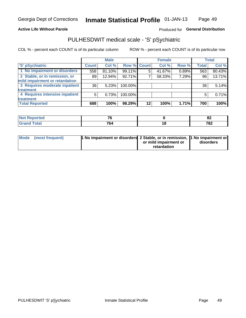#### **Active Life Without Parole**

### Produced for General Distribution

## PULHESDWIT medical scale - 'S' pSychiatric

COL % - percent each COUNT is of its particular column

|                                |              | <b>Male</b> |             |    | <b>Female</b> |       |              | <b>Total</b> |
|--------------------------------|--------------|-------------|-------------|----|---------------|-------|--------------|--------------|
| 'S' pSychiatric                | <b>Count</b> | Col %       | Row % Count |    | Col %         | Row % | <b>Total</b> | Col %        |
| 1 No impairment or disorders   | 558          | 81.10%      | 99.11%      |    | 41.67%        | 0.89% | 563          | 80.43%       |
| 2 Stable, or in remission, or  | 89           | 12.94%      | 92.71%      |    | 58.33%        | 7.29% | 96           | 13.71%       |
| mild impairment or retardation |              |             |             |    |               |       |              |              |
| 3 Requires moderate inpatient  | 36           | 5.23%       | 100.00%     |    |               |       | 36           | 5.14%        |
| treatment                      |              |             |             |    |               |       |              |              |
| 4 Requires intensive inpatient | 5            | 0.73%       | 100.00%     |    |               |       | 5            | 0.71%        |
| treatment                      |              |             |             |    |               |       |              |              |
| <b>Total Reported</b>          | 688          | 100%        | 98.29%      | 12 | 100%          | 1.71% | 700          | 100%         |

| тео | $\mathbf{z}$               | . .<br><u>uz</u> |
|-----|----------------------------|------------------|
|     | 70<br>Oʻ.<br>$\sim$ $\sim$ | 700<br>10Z       |

| Mode (most frequent) | <sup>1</sup> No impairment or disorders 2 Stable, or in remission, <sup>1</sup> No impairment or |                       |           |
|----------------------|--------------------------------------------------------------------------------------------------|-----------------------|-----------|
|                      |                                                                                                  | or mild impairment or | disorders |
|                      |                                                                                                  | retardation           |           |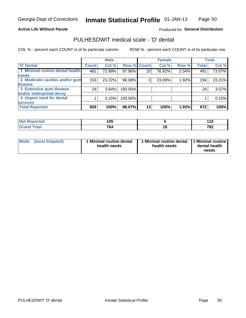#### **Active Life Without Parole**

### Produced for General Distribution

## PULHESDWIT medical scale - 'D' dental

COL % - percent each COUNT is of its particular column

|                                 |                    | <b>Male</b> |         |                 | <b>Female</b> |       |              | <b>Total</b> |
|---------------------------------|--------------------|-------------|---------|-----------------|---------------|-------|--------------|--------------|
| <b>D'</b> Dental                | Count <sup>1</sup> | Col %       |         | Row % Count     | Col %         | Row % | <b>Total</b> | Col %        |
| 1 Minimal routine dental health | 481                | 72.99%      | 97.96%  | 10 <sub>1</sub> | 76.92%        | 2.04% | 491          | 73.07%       |
| <b>needs</b>                    |                    |             |         |                 |               |       |              |              |
| 2 Moderate cavities and/or gum  | 153                | 23.22%      | 98.08%  | 3               | 23.08%        | 1.92% | 156          | 23.21%       |
| disease                         |                    |             |         |                 |               |       |              |              |
| 3 Extensive gum disease         | 24                 | 3.64%       | 100.00% |                 |               |       | 24           | 3.57%        |
| and/or widespread decay         |                    |             |         |                 |               |       |              |              |
| 4 Urgent need for dental        |                    | 0.15%       | 100.00% |                 |               |       |              | 0.15%        |
| <b>services</b>                 |                    |             |         |                 |               |       |              |              |
| <b>Total Reported</b>           | 659                | 100%        | 98.07%  | 13              | 100%          | 1.93% | 672          | 100%         |

| neo   | 4 A F<br>wu |     | 44 C<br>.u<br>$\sim$     |
|-------|-------------|-----|--------------------------|
| `otal | 764         | 1 V | 70 <sub>2</sub><br>1 O Z |

| <b>Mode</b> | (most frequent) | <b>Minimal routine dental</b><br>health needs | 1 Minimal routine dental<br>health needs | <b>11 Minimal routine I</b><br>dental health<br>needs |
|-------------|-----------------|-----------------------------------------------|------------------------------------------|-------------------------------------------------------|
|-------------|-----------------|-----------------------------------------------|------------------------------------------|-------------------------------------------------------|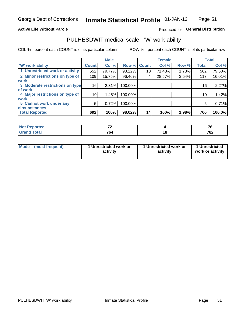#### **Active Life Without Parole**

### Produced for General Distribution

## PULHESDWIT medical scale - 'W' work ability

COL % - percent each COUNT is of its particular column

|                                 |                 | <b>Male</b> |         |             | <b>Female</b> |       |              | <b>Total</b> |
|---------------------------------|-----------------|-------------|---------|-------------|---------------|-------|--------------|--------------|
| <b>W' work ability</b>          | <b>Count</b>    | Col %       |         | Row % Count | Col %         | Row % | <b>Total</b> | Col %        |
| 1 Unrestricted work or activity | 552             | 79.77%      | 98.22%  | 10          | 71.43%        | 1.78% | 562          | 79.60%       |
| 2 Minor restrictions on type of | 109             | 15.75%      | 96.46%  | 4           | 28.57%        | 3.54% | 113          | 16.01%       |
| <b>work</b>                     |                 |             |         |             |               |       |              |              |
| 3 Moderate restrictions on type | 16 <sub>1</sub> | 2.31%       | 100.00% |             |               |       | 16           | 2.27%        |
| of work                         |                 |             |         |             |               |       |              |              |
| 4 Major restrictions on type of | 10 l            | 1.45%       | 100.00% |             |               |       | 10           | 1.42%        |
| <b>work</b>                     |                 |             |         |             |               |       |              |              |
| 5 Cannot work under any         | 5               | 0.72%       | 100.00% |             |               |       | 5            | 0.71%        |
| <b>circumstances</b>            |                 |             |         |             |               |       |              |              |
| <b>Total Reported</b>           | 692             | 100%        | 98.02%  | 14          | 100%          | 1.98% | 706          | 100.0%       |

| <b>Not Reported</b> | $\sim$ | $\rightarrow$ |
|---------------------|--------|---------------|
| <b>Grand Total</b>  | 764    | 782           |

| Mode            | 1 Unrestricted work or | 1 Unrestricted work or | 1 Unrestricted   |
|-----------------|------------------------|------------------------|------------------|
| (most frequent) | activity               | activity               | work or activity |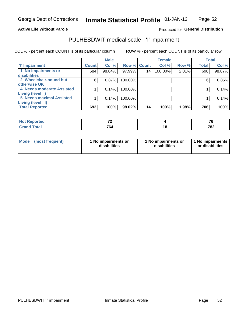#### **Active Life Without Parole**

### Produced for General Distribution

## PULHESDWIT medical scale - 'I' impairment

|                           |              | <b>Male</b> |             |    | <b>Female</b> |       |              | <b>Total</b> |
|---------------------------|--------------|-------------|-------------|----|---------------|-------|--------------|--------------|
| <b>T' Impairment</b>      | <b>Count</b> | Col %       | Row % Count |    | Col %         | Row % | <b>Total</b> | Col %        |
| 1 No impairments or       | 684          | 98.84%      | 97.99%      | 14 | 100.00%       | 2.01% | 698          | 98.87%       |
| disabilities              |              |             |             |    |               |       |              |              |
| 2 Wheelchair-bound but    | 6            | 0.87%       | 100.00%     |    |               |       | 6            | 0.85%        |
| otherwise OK              |              |             |             |    |               |       |              |              |
| 4 Needs moderate Assisted |              | 0.14%       | 100.00%     |    |               |       |              | 0.14%        |
| Living (level II)         |              |             |             |    |               |       |              |              |
| 5 Needs maximal Assisted  |              | 0.14%       | 100.00%     |    |               |       |              | 0.14%        |
| <b>Living (level III)</b> |              |             |             |    |               |       |              |              |
| <b>Total Reported</b>     | 692          | 100%        | 98.02%      | 14 | 100%          | 1.98% | 706          | 100%         |

| orted        | --         | $-$         |
|--------------|------------|-------------|
| <b>Total</b> | 701<br>'04 | 702<br>' o∠ |

| Mode | (most frequent) | 1 No impairments or<br>disabilities | 1 No impairments or<br>disabilities | 1 No impairments  <br>or disabilities |
|------|-----------------|-------------------------------------|-------------------------------------|---------------------------------------|
|------|-----------------|-------------------------------------|-------------------------------------|---------------------------------------|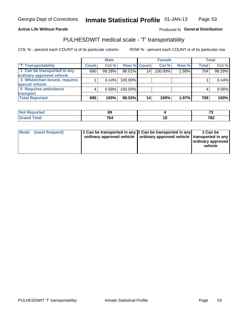#### **Active Life Without Parole**

#### Produced fo General Distribution

## PULHESDWIT medical scale - 'T' transportability

COL % - percent each COUNT is of its particular column

|                              |              | <b>Male</b> |             |    | <b>Female</b> |       |              | <b>Total</b> |
|------------------------------|--------------|-------------|-------------|----|---------------|-------|--------------|--------------|
| <b>T' Transportability</b>   | <b>Count</b> | Col %       | Row % Count |    | Col %         | Row % | <b>Total</b> | Col %        |
| 1 Can be transported in any  | 690          | 99.28%      | 98.01%      | 14 | 100.00%       | 1.99% | 704          | 99.29%       |
| ordinary approved vehicle    |              |             |             |    |               |       |              |              |
| 3 Wheelchair-bound, requires |              | 0.14%       | 100.00%     |    |               |       |              | 0.14%        |
| special vehicle              |              |             |             |    |               |       |              |              |
| 5 Requires ambulance         |              | 0.58%       | 100.00%     |    |               |       |              | 0.56%        |
| transport                    |              |             |             |    |               |       |              |              |
| <b>Total Reported</b>        | 695          | 100%        | 98.03%      | 14 | 100%          | 1.97% | 709          | 100%         |

| Reported     | 69         |        | $\sim$ |
|--------------|------------|--------|--------|
| <b>Total</b> | 70.<br>'04 | ×<br>o | 782    |

| Mode (most frequent) | 1 Can be transported in any 1 Can be transported in any | ordinary approved vehicle   ordinary approved vehicle   transported in any | 1 Can be<br>ordinary approved<br>vehicle |
|----------------------|---------------------------------------------------------|----------------------------------------------------------------------------|------------------------------------------|
|                      |                                                         |                                                                            |                                          |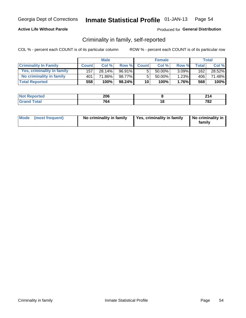### **Active Life Without Parole**

### Produced for General Distribution

## Criminality in family, self-reported

COL % - percent each COUNT is of its particular column

|                              | <b>Male</b>      |        | <b>Female</b> |                 |        | Total    |       |        |
|------------------------------|------------------|--------|---------------|-----------------|--------|----------|-------|--------|
| <b>Criminality In Family</b> | <b>Count</b>     | Col%   | Row %         | <b>Count</b>    | Col %  | Row %    | Total | Col %  |
| Yes, criminality in family   | 157 <sub>1</sub> | 28.14% | 96.91%        | 5               | 50.00% | $3.09\%$ | 162   | 28.52% |
| No criminality in family     | 401              | 71.86% | 98.77%        | 5               | 50.00% | 1.23%    | 406   | 71.48% |
| <b>Total Reported</b>        | 558              | 100%   | 98.24%        | 10 <sup>1</sup> | 100%   | $1.76\%$ | 568   | 100%   |

| <b>Not Reported</b> | 206 |    | ົ           |
|---------------------|-----|----|-------------|
| "otal<br>Gran       | 764 | ιU | 700<br>. OZ |

|  | Mode (most frequent) | No criminality in family | Yes, criminality in family | No criminality in<br>family |
|--|----------------------|--------------------------|----------------------------|-----------------------------|
|--|----------------------|--------------------------|----------------------------|-----------------------------|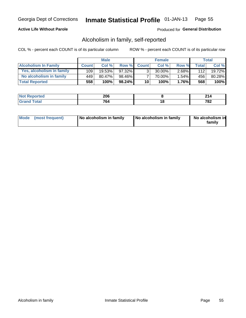### **Active Life Without Parole**

### Produced for General Distribution

## Alcoholism in family, self-reported

COL % - percent each COUNT is of its particular column

|                             |              | <b>Male</b> |           | <b>Female</b>   |           |          | Total        |         |
|-----------------------------|--------------|-------------|-----------|-----------------|-----------|----------|--------------|---------|
| <b>Alcoholism In Family</b> | <b>Count</b> | Col%        | Row %     | <b>Count</b>    | Col%      | Row %    | <b>Total</b> | Col %   |
| Yes, alcoholism in family   | 109          | 19.53%      | 97.32%    | 3 <sub>1</sub>  | $30.00\%$ | $2.68\%$ | 112          | 19.72%  |
| No alcoholism in family     | 449          | 80.47%      | 98.46%    |                 | 70.00%    | $1.54\%$ | 456          | 80.28%  |
| <b>Total Reported</b>       | 558          | 100%        | $98.24\%$ | 10 <sub>1</sub> | 100%      | $1.76\%$ | 568          | $100\%$ |

| <b>Not Reported</b> | 206 |    | ົ           |
|---------------------|-----|----|-------------|
| "otal<br>Gran       | 764 | ιU | 700<br>. OZ |

|  | Mode (most frequent) | No alcoholism in family | No alcoholism in family | No alcoholism in<br>family |
|--|----------------------|-------------------------|-------------------------|----------------------------|
|--|----------------------|-------------------------|-------------------------|----------------------------|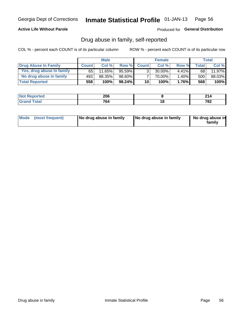### **Active Life Without Parole**

### Produced for General Distribution

## Drug abuse in family, self-reported

COL % - percent each COUNT is of its particular column

|                           |              | <b>Male</b> |           | <b>Female</b>   |           |          | <b>Total</b> |         |
|---------------------------|--------------|-------------|-----------|-----------------|-----------|----------|--------------|---------|
| Drug Abuse In Family      | <b>Count</b> | Col%        | Row %     | <b>Count</b>    | Col%      | Row %    | Total.       | Col %   |
| Yes, drug abuse in family | 65           | 11.65%      | $95.59\%$ | 3 <sub>1</sub>  | $30.00\%$ | $4.41\%$ | 68           | 11.97%  |
| No drug abuse in family   | 493          | 88.35%      | 98.60%    |                 | 70.00%    | 1.40%    | 500          | 88.03%  |
| <b>Total Reported</b>     | 558          | 100%        | $98.24\%$ | 10 <sup>1</sup> | $100\%$   | $1.76\%$ | 568          | $100\%$ |

| <b>Not Reported</b> | 206 |    | ົ           |
|---------------------|-----|----|-------------|
| "otal<br>Gran       | 764 | ιU | 700<br>. OZ |

|  | Mode (most frequent) | No drug abuse in family | No drug abuse in family | No drug abuse in<br>family |
|--|----------------------|-------------------------|-------------------------|----------------------------|
|--|----------------------|-------------------------|-------------------------|----------------------------|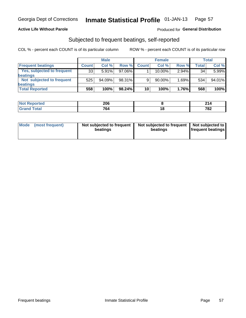### **Active Life Without Parole**

### Produced for General Distribution

## Subjected to frequent beatings, self-reported

COL % - percent each COUNT is of its particular column

|                                   | <b>Male</b>  |        | <b>Female</b> |              |        | Total |       |        |
|-----------------------------------|--------------|--------|---------------|--------------|--------|-------|-------|--------|
| <b>Frequent beatings</b>          | <b>Count</b> | Col %  | Row %         | <b>Count</b> | Col %  | Row % | Total | Col %  |
| <b>Yes, subjected to frequent</b> | 33           | 5.91%  | 97.06%        |              | 10.00% | 2.94% | 34    | 5.99%  |
| beatings                          |              |        |               |              |        |       |       |        |
| Not subjected to frequent         | 525          | 94.09% | 98.31%        | 9            | 90.00% | 1.69% | 534   | 94.01% |
| beatings                          |              |        |               |              |        |       |       |        |
| <b>Total Reported</b>             | 558          | 100%   | $98.24\%$     | 10           | 100%   | 1.76% | 568   | 100%   |

| <b>Not Reported</b> | 206        | ົາ4<br>Z 14 |
|---------------------|------------|-------------|
| <b>Total</b>        | 701<br>'о4 | 782         |

| (most frequent)<br>Not subjected to frequent<br>Mode<br>beatings | Not subjected to frequent   Not subjected to<br>beatings | <b>frequent beatings</b> |
|------------------------------------------------------------------|----------------------------------------------------------|--------------------------|
|------------------------------------------------------------------|----------------------------------------------------------|--------------------------|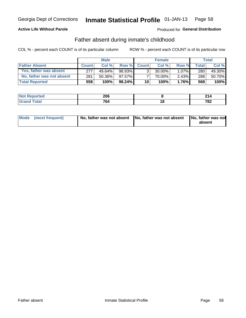### **Active Life Without Parole**

## **Produced for General Distribution**

## Father absent during inmate's childhood

COL % - percent each COUNT is of its particular column

|                           |              | <b>Male</b> |           | <b>Female</b>   |           |          | Total        |         |
|---------------------------|--------------|-------------|-----------|-----------------|-----------|----------|--------------|---------|
| <b>Father Absent</b>      | <b>Count</b> | Col%        | Row %     | <b>Count</b>    | Col %     | Row %    | <b>Total</b> | Col %   |
| Yes, father was absent    | 277          | 49.64%      | 98.93%    | 3 <sub>1</sub>  | $30.00\%$ | $1.07\%$ | 280          | 49.30%  |
| No, father was not absent | 281          | 50.36%      | 97.57%    |                 | 70.00%    | $2.43\%$ | 288          | 50.70%  |
| <b>Total Reported</b>     | 558          | 100%        | $98.24\%$ | 10 <sup>1</sup> | 100%      | $1.76\%$ | 568          | $100\%$ |

| <b>Not Reported</b> | 206 |    | ົ           |
|---------------------|-----|----|-------------|
| "otal<br>Gran       | 764 | ιU | 700<br>. OZ |

| Mode (most frequent) |  | No, father was not absent No, father was not absent No, father was not | absent |
|----------------------|--|------------------------------------------------------------------------|--------|
|----------------------|--|------------------------------------------------------------------------|--------|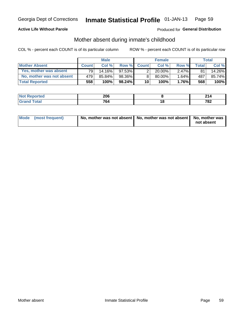### **Active Life Without Parole**

## Produced for General Distribution

## Mother absent during inmate's childhood

COL % - percent each COUNT is of its particular column

|                           | <b>Male</b>  |        | <b>Female</b> |                 |           | Total    |              |        |
|---------------------------|--------------|--------|---------------|-----------------|-----------|----------|--------------|--------|
| <b>Mother Absent</b>      | <b>Count</b> | Col%   | Row %         | <b>Count</b>    | Col %     | Row %    | <b>Total</b> | Col %  |
| Yes, mother was absent    | 791          | 14.16% | $97.53\%$     | 2 <sub>1</sub>  | $20.00\%$ | $2.47\%$ | 81           | 14.26% |
| No, mother was not absent | 479          | 85.84% | 98.36%        | 8               | 80.00%    | 1.64%    | 487          | 85.74% |
| <b>Total Reported</b>     | 558          | 100%   | $98.24\%$     | 10 <sup>1</sup> | 100%      | $1.76\%$ | 568          | 100%   |

| المنتشر بالتعبير<br>keporteal<br>NO | 206        |    | ົ            |
|-------------------------------------|------------|----|--------------|
| <b>otal</b>                         | 701<br>'о4 | 10 | 700<br>1 O Z |

| Mode (most frequent) | No, mother was not absent   No, mother was not absent   No, mother was | not absent |
|----------------------|------------------------------------------------------------------------|------------|
|----------------------|------------------------------------------------------------------------|------------|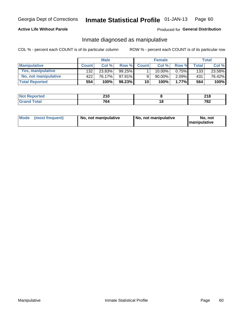### **Active Life Without Parole**

### Produced for General Distribution

## Inmate diagnosed as manipulative

COL % - percent each COUNT is of its particular column

|                          | <b>Male</b>  |        |           | <b>Female</b> |             |          | Total        |        |
|--------------------------|--------------|--------|-----------|---------------|-------------|----------|--------------|--------|
| <b>Manipulative</b>      | <b>Count</b> | Col %  | Row %     | <b>Count</b>  | Col %       | Row %    | <b>Total</b> | Col %  |
| <b>Yes, manipulative</b> | 132          | 23.83% | $99.25\%$ |               | $10.00\%$ . | $0.75\%$ | 133          | 23.58% |
| No, not manipulative     | 422          | 76.17% | 97.91%    | 9             | 90.00%      | $2.09\%$ | 431          | 76.42% |
| <b>Total Reported</b>    | 554          | 100%   | 98.23%    | 10            | 100%        | 1.77%    | 564          | 100%   |

| <b>Not Reported</b> | <b>210</b><br>∸ I V |     | ິລາ ເ<br>ZIO. |
|---------------------|---------------------|-----|---------------|
| <b>c</b> otal       | 701                 | ı a | 700           |
| ' Gran              | ' ο4                |     | 0Z            |

|  | Mode (most frequent) | No, not manipulative | No, not manipulative | No. not<br><b>I</b> manipulative |
|--|----------------------|----------------------|----------------------|----------------------------------|
|--|----------------------|----------------------|----------------------|----------------------------------|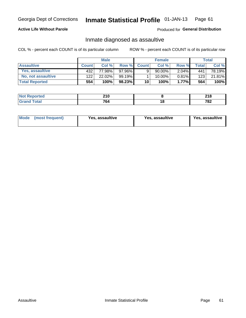#### Inmate Statistical Profile 01-JAN-13 Page 61

### **Active Life Without Parole**

Produced for General Distribution

## Inmate diagnosed as assaultive

COL % - percent each COUNT is of its particular column

|                       | <b>Male</b>  |        | <b>Female</b> |              |           | <b>Total</b> |                    |        |
|-----------------------|--------------|--------|---------------|--------------|-----------|--------------|--------------------|--------|
| <b>Assaultive</b>     | <b>Count</b> | Col%   | Row %         | <b>Count</b> | Col%      | Row %        | Total <sub>1</sub> | Col %  |
| Yes, assaultive       | 432          | 77.98% | 97.96%        | 9            | $90.00\%$ | $2.04\%$     | 441                | 78.19% |
| No, not assaultive    | 122          | 22.02% | $99.19\%$     |              | 10.00%    | $0.81\%$     | 123                | 21.81% |
| <b>Total Reported</b> | 554          | 100%   | 98.23%        | 10           | $100\%$ . | $1.77\%$     | 564                | 100%   |

| <b>Not Reported</b> | າ4 ∩<br><b>LIV</b> |    | <b>040</b><br>41 O |
|---------------------|--------------------|----|--------------------|
| <b>Total</b>        | 764                | 10 | 702<br>70Z         |

| Mode (most frequent)<br>Yes, assaultive | Yes, assaultive | <b>Yes, assaultive</b> |
|-----------------------------------------|-----------------|------------------------|
|-----------------------------------------|-----------------|------------------------|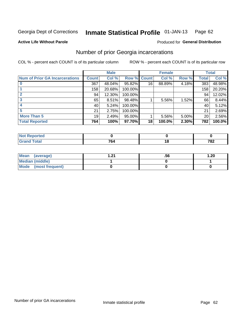#### Inmate Statistical Profile 01-JAN-13 Page 62

#### **Active Life Without Parole**

### **Produced for General Distribution**

## Number of prior Georgia incarcerations

COL % - percent each COUNT is of its particular column

|                                       |              | <b>Male</b> |                    |    | <b>Female</b> |       |       | <b>Total</b> |
|---------------------------------------|--------------|-------------|--------------------|----|---------------|-------|-------|--------------|
| <b>Num of Prior GA Incarcerations</b> | <b>Count</b> | Col %       | <b>Row % Count</b> |    | Col %         | Row % | Total | Col %        |
|                                       | 367          | 48.04%      | 95.82%             | 16 | 88.89%        | 4.18% | 383   | 48.98%       |
|                                       | 158          | 20.68%      | 100.00%            |    |               |       | 158   | 20.20%       |
|                                       | 94           | 12.30%      | 100.00%            |    |               |       | 94    | 12.02%       |
| 3                                     | 65           | 8.51%       | 98.48%             |    | 5.56%         | 1.52% | 66    | 8.44%        |
|                                       | 40           | 5.24%       | 100.00%            |    |               |       | 40    | 5.12%        |
|                                       | 21           | 2.75%       | 100.00%            |    |               |       | 21    | 2.69%        |
| <b>More Than 5</b>                    | 19           | 2.49%       | 95.00%             |    | 5.56%         | 5.00% | 20    | 2.56%        |
| <b>Total Reported</b>                 | 764          | 100%        | 97.70%             | 18 | 100.0%        | 2.30% | 782   | 100.0%       |

| rorteo                          |                |     |
|---------------------------------|----------------|-----|
| <b>otal</b><br>$\mathbf{v}$ and | $\overline{ }$ | 782 |

| Mean (average)       | ີ | .56 | .20 |
|----------------------|---|-----|-----|
| Median (middle)      |   |     |     |
| Mode (most frequent) |   |     |     |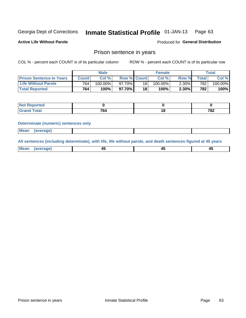#### Inmate Statistical Profile 01-JAN-13 Page 63

**Active Life Without Parole** 

Produced for General Distribution

## Prison sentence in years

COL % - percent each COUNT is of its particular column

ROW % - percent each COUNT is of its particular row

|                                 |         | <b>Male</b> |                    |    | <b>Female</b> |          |       | Total   |
|---------------------------------|---------|-------------|--------------------|----|---------------|----------|-------|---------|
| <b>Prison Sentence In Years</b> | Count l | Col %       | <b>Row % Count</b> |    | Col %         | Row %    | Total | Col %   |
| <b>Life Without Parole</b>      | 764     | $100.00\%$  | $97.70\%$          | 18 | 100.00%       | $2.30\%$ | 7821  | 100.00% |
| <b>Total Reported</b>           | 764     | 100%        | 97.70% I           | 18 | 100%          | $2.30\%$ | 782   | 100%    |

| Not Reported |                    |            |
|--------------|--------------------|------------|
| <b>otal</b>  | $\mathbf{a}$<br>04 | 702<br>ے ∘ |

#### **Determinate (numeric) sentences only**

| <b>Mean</b> | <i>(average)</i> |  |  |
|-------------|------------------|--|--|
|             |                  |  |  |

All sentences (including determinate), with life, life without parole, and death sentences figured at 45 years

| l Mea<br>апе<br>. | -⊷ |  |
|-------------------|----|--|
|                   |    |  |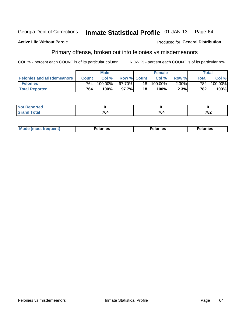#### **Active Life Without Parole**

#### Produced for General Distribution

## Primary offense, broken out into felonies vs misdemeanors

COL % - percent each COUNT is of its particular column

|                                  |              | <b>Male</b> |                    |      | <b>Female</b> |          |              | Total   |
|----------------------------------|--------------|-------------|--------------------|------|---------------|----------|--------------|---------|
| <b>Felonies and Misdemeanors</b> | <b>Count</b> | Col%        | <b>Row % Count</b> |      | Col%          | Row %    | <b>Total</b> | Col %   |
| <b>Felonies</b>                  | 764          | 100.00%     | 97.70%             | 18 I | 100.00%       | $2.30\%$ | 782          | 100.00% |
| <b>Total Reported</b>            | 764          | $100\%$ .   | 97.7%              | 18   | 100%          | 2.3%     | 782          | 100%    |

| <b>Not Reported</b>          |                          |                   |     |
|------------------------------|--------------------------|-------------------|-----|
| <b>Total</b><br>Grand<br>uuu | $\overline{\phantom{a}}$ | <b>701</b><br>`04 | 782 |

| $Mc$<br>equent)<br>нез<br>$\sim$<br>. | onies<br>. | <b>onies</b><br>. |
|---------------------------------------|------------|-------------------|
|---------------------------------------|------------|-------------------|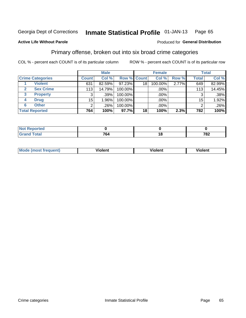#### Inmate Statistical Profile 01-JAN-13 Page 65

### **Active Life Without Parole**

#### Produced for General Distribution

## Primary offense, broken out into six broad crime categories

COL % - percent each COUNT is of its particular column

|                         |              | <b>Male</b> |             |    | <b>Female</b> |       |                 | <b>Total</b> |
|-------------------------|--------------|-------------|-------------|----|---------------|-------|-----------------|--------------|
| <b>Crime Categories</b> | <b>Count</b> | Col %       | Row % Count |    | Col %         | Row % | <b>Total</b>    | Col %        |
| <b>Violent</b>          | 631          | 82.59%      | 97.23%      | 18 | 100.00%       | 2.77% | 649             | 82.99%       |
| <b>Sex Crime</b>        | 113          | 14.79%      | 100.00%     |    | .00%          |       | 113             | 14.45%       |
| 3<br><b>Property</b>    | 3            | .39%        | 100.00%     |    | .00%          |       |                 | .38%         |
| <b>Drug</b><br>4        | 15           | l.96%       | 100.00%     |    | .00%          |       | 15 <sub>1</sub> | 1.92%        |
| <b>Other</b><br>6       | 2            | .26%        | 100.00%     |    | .00%          |       | າ               | $.26\%$      |
| <b>Total Reported</b>   | 764          | 100%        | 97.7%       | 18 | 100%          | 2.3%  | 782             | 100%         |

| <b>Not Reported</b> |            |     |     |
|---------------------|------------|-----|-----|
| <b>Total</b>        | 701<br>704 | . a | 782 |

| M | . | 40 O |
|---|---|------|
|   |   |      |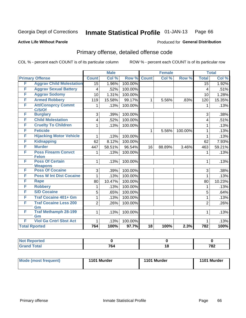#### Inmate Statistical Profile 01-JAN-13 Page 66

#### **Active Life Without Parole**

### **Produced for General Distribution**

## Primary offense, detailed offense code

COL % - percent each COUNT is of its particular column

|   |                                          |                 | <b>Male</b> |         |                 | <b>Female</b> |         |                 | <b>Total</b> |
|---|------------------------------------------|-----------------|-------------|---------|-----------------|---------------|---------|-----------------|--------------|
|   | <b>Primary Offense</b>                   | <b>Count</b>    | Col %       | Row %   | <b>Count</b>    | Col %         | Row %   | <b>Total</b>    | Col %        |
| F | <b>Aggrav Child Molestation</b>          | $\overline{15}$ | 1.96%       | 100.00% |                 |               |         | $\overline{15}$ | 1.92%        |
| F | <b>Aggrav Sexual Battery</b>             | 4               | .52%        | 100.00% |                 |               |         | $\overline{4}$  | .51%         |
| F | <b>Aggrav Sodomy</b>                     | 10              | 1.31%       | 100.00% |                 |               |         | 10              | 1.28%        |
| F | <b>Armed Robbery</b>                     | 119             | 15.58%      | 99.17%  | 1               | 5.56%         | .83%    | 120             | 15.35%       |
| F | <b>Att/Consprcy Commt</b><br>C/S/Of      | 1               | .13%        | 100.00% |                 |               |         | 1               | .13%         |
| F | <b>Burglary</b>                          | 3               | .39%        | 100.00% |                 |               |         | 3               | .38%         |
| F | <b>Child Molestation</b>                 | 4               | .52%        | 100.00% |                 |               |         | 4               | .51%         |
| F | <b>Cruelty To Children</b>               | 1               | .13%        | 100.00% |                 |               |         | 1               | .13%         |
| F | <b>Feticide</b>                          |                 |             |         | $\mathbf{1}$    | 5.56%         | 100.00% | 1               | .13%         |
| F | <b>Hijacking Motor Vehicle</b>           | 1               | .13%        | 100.00% |                 |               |         | 1               | .13%         |
| F | <b>Kidnapping</b>                        | 62              | 8.12%       | 100.00% |                 |               |         | 62              | 7.93%        |
| F | <b>Murder</b>                            | 447             | 58.51%      | 96.54%  | 16              | 88.89%        | 3.46%   | 463             | 59.21%       |
| F | <b>Poss Firearm Convct</b>               | 1               | .13%        | 100.00% |                 |               |         | 1               | .13%         |
|   | <b>Felon</b>                             |                 |             |         |                 |               |         |                 |              |
| F | <b>Poss Of Certain</b><br><b>Weapons</b> | $\mathbf{1}$    | .13%        | 100.00% |                 |               |         | 1               | .13%         |
| F | <b>Poss Of Cocaine</b>                   | 3               | .39%        | 100.00% |                 |               |         | 3               | .38%         |
| F | <b>Poss W Int Dist Cocaine</b>           | 1               | .13%        | 100.00% |                 |               |         | 1               | .13%         |
| F | Rape                                     | 80              | 10.47%      | 100.00% |                 |               |         | 80              | 10.23%       |
| F | <b>Robbery</b>                           | 1               | .13%        | 100.00% |                 |               |         | 1               | .13%         |
| F | <b>S/D Cocaine</b>                       | 5               | .65%        | 100.00% |                 |               |         | 5               | .64%         |
| F | <b>Traf Cocaine 401+ Gm</b>              | $\mathbf 1$     | .13%        | 100.00% |                 |               |         | 1               | .13%         |
| F | <b>Traf Cocaine Less 200</b>             | $\overline{2}$  | .26%        | 100.00% |                 |               |         | $\overline{2}$  | .26%         |
|   | Gm                                       |                 |             |         |                 |               |         |                 |              |
| F | <b>Traf Methamph 28-199</b><br>Gm        | $\mathbf{1}$    | .13%        | 100.00% |                 |               |         | 1               | .13%         |
| F | <b>Viol Ga Cntrl Sbst Act</b>            | 1               | .13%        | 100.00% |                 |               |         | 1               | .13%         |
|   | <b>Total Rported</b>                     | 764             | 100%        | 97.7%   | $\overline{18}$ | 100%          | 2.3%    | 782             | 100%         |
|   |                                          |                 |             |         |                 |               |         |                 |              |

| Reported      |                                 |     |             |
|---------------|---------------------------------|-----|-------------|
| <b>c</b> otal | $\overline{\phantom{a}}$<br>104 | 1 V | 702<br>אט י |

| <b>Mode (most frequent)</b> | 1101 Murder | 1101 Murder | 1101 Murder |
|-----------------------------|-------------|-------------|-------------|
|                             |             |             |             |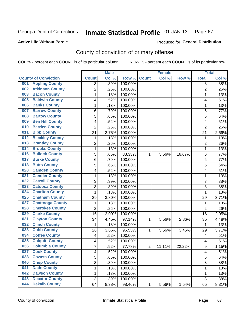#### **Active Life Without Parole**

### Produced for **General Distribution**

## County of conviction of primary offense

|                                |                         | <b>Male</b> |         | <b>Female</b>  |        |        | <b>Total</b>            |       |
|--------------------------------|-------------------------|-------------|---------|----------------|--------|--------|-------------------------|-------|
| <b>County of Conviction</b>    | <b>Count</b>            | Col %       | Row %   | <b>Count</b>   | Col %  | Row %  | <b>Total</b>            | Col % |
| <b>Appling County</b><br>001   | 3                       | .39%        | 100.00% |                |        |        | $\overline{3}$          | .38%  |
| <b>Atkinson County</b><br>002  | $\overline{2}$          | .26%        | 100.00% |                |        |        | $\overline{2}$          | .26%  |
| <b>Bacon County</b><br>003     | 1                       | .13%        | 100.00% |                |        |        | 1                       | .13%  |
| <b>Baldwin County</b><br>005   | 4                       | .52%        | 100.00% |                |        |        | 4                       | .51%  |
| <b>Banks County</b><br>006     | 1                       | .13%        | 100.00% |                |        |        | 1                       | .13%  |
| <b>Barrow County</b><br>007    | 6                       | .79%        | 100.00% |                |        |        | 6                       | .77%  |
| <b>Bartow County</b><br>008    | 5                       | .65%        | 100.00% |                |        |        | 5                       | .64%  |
| <b>Ben Hill County</b><br>009  | 4                       | .52%        | 100.00% |                |        |        | 4                       | .51%  |
| <b>Berrien County</b><br>010   | $\overline{2}$          | .26%        | 100.00% |                |        |        | $\overline{2}$          | .26%  |
| <b>Bibb County</b><br>011      | 21                      | 2.75%       | 100.00% |                |        |        | 21                      | 2.69% |
| <b>Bleckley County</b><br>012  | 1                       | .13%        | 100.00% |                |        |        | 1                       | .13%  |
| <b>Brantley County</b><br>013  | $\overline{c}$          | .26%        | 100.00% |                |        |        | $\overline{2}$          | .26%  |
| <b>Brooks County</b><br>014    | 1                       | .13%        | 100.00% |                |        |        | 1                       | .13%  |
| <b>Bulloch County</b><br>016   | 5                       | .65%        | 83.33%  | 1              | 5.56%  | 16.67% | $\,6\,$                 | .77%  |
| <b>Burke County</b><br>017     | 6                       | .79%        | 100.00% |                |        |        | 6                       | .77%  |
| <b>Butts County</b><br>018     | $\overline{5}$          | .65%        | 100.00% |                |        |        | 5                       | .64%  |
| <b>Camden County</b><br>020    | 4                       | .52%        | 100.00% |                |        |        | 4                       | .51%  |
| <b>Candler County</b><br>021   | 1                       | .13%        | 100.00% |                |        |        | 1                       | .13%  |
| <b>Carroll County</b><br>022   | 3                       | .39%        | 100.00% |                |        |        | 3                       | .38%  |
| <b>Catoosa County</b><br>023   | $\overline{3}$          | .39%        | 100.00% |                |        |        | $\overline{3}$          | .38%  |
| <b>Charlton County</b><br>024  | 1                       | .13%        | 100.00% |                |        |        | 1                       | .13%  |
| <b>Chatham County</b><br>025   | 29                      | 3.80%       | 100.00% |                |        |        | 29                      | 3.71% |
| <b>Chattooga County</b><br>027 | 1                       | .13%        | 100.00% |                |        |        | $\mathbf{1}$            | .13%  |
| <b>Cherokee County</b><br>028  | $\overline{2}$          | .26%        | 100.00% |                |        |        | $\overline{2}$          | .26%  |
| <b>Clarke County</b><br>029    | 16                      | 2.09%       | 100.00% |                |        |        | 16                      | 2.05% |
| <b>Clayton County</b><br>031   | 34                      | 4.45%       | 97.14%  | 1              | 5.56%  | 2.86%  | 35                      | 4.48% |
| <b>Clinch County</b><br>032    | 1                       | .13%        | 100.00% |                |        |        | 1                       | .13%  |
| <b>Cobb County</b><br>033      | 28                      | 3.66%       | 96.55%  | 1              | 5.56%  | 3.45%  | 29                      | 3.71% |
| <b>Coffee County</b><br>034    | $\overline{\mathbf{4}}$ | .52%        | 100.00% |                |        |        | $\overline{\mathbf{4}}$ | .51%  |
| <b>Colquitt County</b><br>035  | 4                       | .52%        | 100.00% |                |        |        | 4                       | .51%  |
| <b>Columbia County</b><br>036  | 7                       | .92%        | 77.78%  | $\overline{2}$ | 11.11% | 22.22% | $\boldsymbol{9}$        | 1.15% |
| 037<br><b>Cook County</b>      | 4                       | .52%        | 100.00% |                |        |        | 4                       | .51%  |
| <b>Coweta County</b><br>038    | 5                       | .65%        | 100.00% |                |        |        | 5                       | .64%  |
| <b>Crisp County</b><br>040     | 3                       | .39%        | 100.00% |                |        |        | 3                       | .38%  |
| <b>Dade County</b><br>041      | 1                       | .13%        | 100.00% |                |        |        | 1                       | .13%  |
| <b>Dawson County</b><br>042    | 1                       | .13%        | 100.00% |                |        |        | 1                       | .13%  |
| <b>Decatur County</b><br>043   | $\sqrt{3}$              | .39%        | 100.00% |                |        |        | 3                       | .38%  |
| <b>Dekalb County</b><br>044    | 64                      | 8.38%       | 98.46%  | 1              | 5.56%  | 1.54%  | 65                      | 8.31% |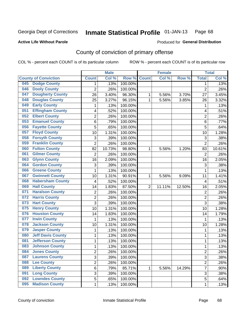**Active Life Without Parole** 

Produced for **General Distribution**

## County of conviction of primary offense

|     |                             |                | <b>Male</b> |         |                | <b>Female</b> |        |                         | <b>Total</b> |
|-----|-----------------------------|----------------|-------------|---------|----------------|---------------|--------|-------------------------|--------------|
|     | <b>County of Conviction</b> | <b>Count</b>   | Col%        | Row %   | <b>Count</b>   | Col %         | Row %  | <b>Total</b>            | Col %        |
| 045 | <b>Dodge County</b>         | 1              | .13%        | 100.00% |                |               |        | $\mathbf 1$             | .13%         |
| 046 | <b>Dooly County</b>         | $\overline{2}$ | .26%        | 100.00% |                |               |        | $\overline{2}$          | .26%         |
| 047 | <b>Dougherty County</b>     | 26             | 3.40%       | 96.30%  | 1              | 5.56%         | 3.70%  | 27                      | 3.45%        |
| 048 | <b>Douglas County</b>       | 25             | 3.27%       | 96.15%  | 1              | 5.56%         | 3.85%  | 26                      | 3.32%        |
| 049 | <b>Early County</b>         | 1              | .13%        | 100.00% |                |               |        | 1                       | .13%         |
| 051 | <b>Effingham County</b>     | 4              | .52%        | 100.00% |                |               |        | 4                       | .51%         |
| 052 | <b>Elbert County</b>        | $\overline{2}$ | .26%        | 100.00% |                |               |        | $\overline{2}$          | .26%         |
| 053 | <b>Emanuel County</b>       | 6              | .79%        | 100.00% |                |               |        | 6                       | .77%         |
| 056 | <b>Fayette County</b>       | 5              | .65%        | 100.00% |                |               |        | 5                       | .64%         |
| 057 | <b>Floyd County</b>         | 10             | 1.31%       | 100.00% |                |               |        | 10                      | 1.28%        |
| 058 | <b>Forsyth County</b>       | $\mathbf{3}$   | .39%        | 100.00% |                |               |        | 3                       | .38%         |
| 059 | <b>Franklin County</b>      | $\overline{2}$ | .26%        | 100.00% |                |               |        | $\overline{2}$          | .26%         |
| 060 | <b>Fulton County</b>        | 82             | 10.73%      | 98.80%  | 1              | 5.56%         | 1.20%  | 83                      | 10.61%       |
| 061 | <b>Gilmer County</b>        | $\overline{2}$ | .26%        | 100.00% |                |               |        | $\overline{2}$          | .26%         |
| 063 | <b>Glynn County</b>         | 16             | 2.09%       | 100.00% |                |               |        | 16                      | 2.05%        |
| 064 | <b>Gordon County</b>        | 3              | .39%        | 100.00% |                |               |        | 3                       | .38%         |
| 066 | <b>Greene County</b>        | 1              | .13%        | 100.00% |                |               |        | 1                       | .13%         |
| 067 | <b>Gwinnett County</b>      | 10             | 1.31%       | 90.91%  | 1              | 5.56%         | 9.09%  | 11                      | 1.41%        |
| 068 | <b>Habersham County</b>     | 4              | .52%        | 100.00% |                |               |        | $\overline{4}$          | .51%         |
| 069 | <b>Hall County</b>          | 14             | 1.83%       | 87.50%  | $\overline{2}$ | 11.11%        | 12.50% | 16                      | 2.05%        |
| 071 | <b>Haralson County</b>      | 2              | .26%        | 100.00% |                |               |        | $\overline{2}$          | .26%         |
| 072 | <b>Harris County</b>        | $\overline{2}$ | .26%        | 100.00% |                |               |        | $\overline{2}$          | .26%         |
| 073 | <b>Hart County</b>          | $\overline{3}$ | .39%        | 100.00% |                |               |        | 3                       | .38%         |
| 075 | <b>Henry County</b>         | 10             | 1.31%       | 100.00% |                |               |        | 10                      | 1.28%        |
| 076 | <b>Houston County</b>       | 14             | 1.83%       | 100.00% |                |               |        | 14                      | 1.79%        |
| 077 | <b>Irwin County</b>         | 1              | .13%        | 100.00% |                |               |        | $\mathbf{1}$            | .13%         |
| 078 | <b>Jackson County</b>       | 10             | 1.31%       | 100.00% |                |               |        | 10                      | 1.28%        |
| 079 | <b>Jasper County</b>        | 1              | .13%        | 100.00% |                |               |        | 1                       | .13%         |
| 080 | <b>Jeff Davis County</b>    | 1              | .13%        | 100.00% |                |               |        | $\mathbf 1$             | .13%         |
| 081 | <b>Jefferson County</b>     | 1              | .13%        | 100.00% |                |               |        | $\mathbf 1$             | .13%         |
| 083 | <b>Johnson County</b>       | 1              | .13%        | 100.00% |                |               |        | 1                       | .13%         |
| 084 | <b>Jones County</b>         | 2              | .26%        | 100.00% |                |               |        | $\overline{\mathbf{c}}$ | .26%         |
| 087 | <b>Laurens County</b>       | $\overline{3}$ | .39%        | 100.00% |                |               |        | 3                       | .38%         |
| 088 | <b>Lee County</b>           | $\overline{2}$ | .26%        | 100.00% |                |               |        | $\overline{2}$          | .26%         |
| 089 | <b>Liberty County</b>       | $\overline{6}$ | .79%        | 85.71%  | 1              | 5.56%         | 14.29% | $\overline{7}$          | .90%         |
| 091 | <b>Long County</b>          | 3              | .39%        | 100.00% |                |               |        | 3                       | .38%         |
| 092 | <b>Lowndes County</b>       | 5              | .65%        | 100.00% |                |               |        | 5                       | .64%         |
| 095 | <b>Madison County</b>       | 1              | .13%        | 100.00% |                |               |        | 1                       | .13%         |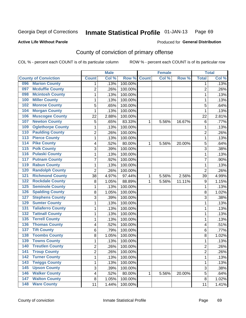**Active Life Without Parole** 

Produced for **General Distribution**

## County of conviction of primary offense

|                                            |                | <b>Male</b> |         |              | <b>Female</b> |        |                | <b>Total</b> |
|--------------------------------------------|----------------|-------------|---------|--------------|---------------|--------|----------------|--------------|
| <b>County of Conviction</b>                | <b>Count</b>   | Col %       | Row %   | <b>Count</b> | Col %         | Row %  | <b>Total</b>   | Col %        |
| <b>Marion County</b><br>096                | 1              | .13%        | 100.00% |              |               |        | 1              | .13%         |
| <b>Mcduffie County</b><br>097              | $\overline{2}$ | .26%        | 100.00% |              |               |        | $\overline{2}$ | .26%         |
| <b>Mcintosh County</b><br>098              | 1              | .13%        | 100.00% |              |               |        | $\mathbf 1$    | .13%         |
| <b>Miller County</b><br>100                | 1              | .13%        | 100.00% |              |               |        | 1              | .13%         |
| <b>Monroe County</b><br>102                | 5              | .65%        | 100.00% |              |               |        | 5              | .64%         |
| <b>Morgan County</b><br>104                | 1              | .13%        | 100.00% |              |               |        | 1              | .13%         |
| <b>Muscogee County</b><br>106              | 22             | 2.88%       | 100.00% |              |               |        | 22             | 2.81%        |
| <b>Newton County</b><br>107                | 5              | .65%        | 83.33%  | 1            | 5.56%         | 16.67% | 6              | .77%         |
| <b>Oglethorpe County</b><br>109            | 1              | .13%        | 100.00% |              |               |        | 1              | .13%         |
| <b>Paulding County</b><br>110              | $\overline{c}$ | .26%        | 100.00% |              |               |        | $\overline{2}$ | .26%         |
| <b>Pierce County</b><br>113                | 1              | .13%        | 100.00% |              |               |        | $\mathbf 1$    | .13%         |
| <b>Pike County</b><br>114                  | 4              | .52%        | 80.00%  | 1            | 5.56%         | 20.00% | 5              | .64%         |
| <b>Polk County</b><br>115                  | 3              | .39%        | 100.00% |              |               |        | 3              | .38%         |
| <b>Pulaski County</b><br>116               | 1              | .13%        | 100.00% |              |               |        | $\mathbf 1$    | .13%         |
| <b>Putnam County</b><br>117                | $\overline{7}$ | .92%        | 100.00% |              |               |        | $\overline{7}$ | .90%         |
| <b>Rabun County</b><br>119                 | 1              | .13%        | 100.00% |              |               |        | $\mathbf 1$    | .13%         |
| <b>Randolph County</b><br>120              | $\overline{2}$ | .26%        | 100.00% |              |               |        | $\overline{2}$ | .26%         |
| <b>Richmond County</b><br>$\overline{121}$ | 38             | 4.97%       | 97.44%  | 1            | 5.56%         | 2.56%  | 39             | 4.99%        |
| <b>Rockdale County</b><br>122              | 8              | 1.05%       | 88.89%  | 1            | 5.56%         | 11.11% | 9              | 1.15%        |
| <b>Seminole County</b><br>125              | 1              | .13%        | 100.00% |              |               |        | 1              | .13%         |
| <b>Spalding County</b><br>126              | 8              | 1.05%       | 100.00% |              |               |        | 8              | 1.02%        |
| <b>Stephens County</b><br>127              | 3              | .39%        | 100.00% |              |               |        | 3              | .38%         |
| <b>Sumter County</b><br>129                | 1              | .13%        | 100.00% |              |               |        | 1              | .13%         |
| <b>Taliaferro County</b><br>131            | 1              | .13%        | 100.00% |              |               |        | 1              | .13%         |
| <b>Tattnall County</b><br>132              | 1              | .13%        | 100.00% |              |               |        | 1              | .13%         |
| <b>Terrell County</b><br>135               | 1              | .13%        | 100.00% |              |               |        | $\mathbf 1$    | .13%         |
| <b>Thomas County</b><br>136                | 4              | .52%        | 100.00% |              |               |        | 4              | .51%         |
| <b>Tift County</b><br>137                  | 6              | .79%        | 100.00% |              |               |        | 6              | .77%         |
| <b>Toombs County</b><br>138                | 8              | 1.05%       | 100.00% |              |               |        | 8              | 1.02%        |
| <b>Towns County</b><br>139                 | 1              | .13%        | 100.00% |              |               |        | $\mathbf 1$    | .13%         |
| <b>Treutlen County</b><br>140              | $\overline{2}$ | .26%        | 100.00% |              |               |        | $\overline{2}$ | .26%         |
| 141<br><b>Troup County</b>                 | 2              | .26%        | 100.00% |              |               |        | 2              | .26%         |
| <b>Turner County</b><br>142                | 1              | .13%        | 100.00% |              |               |        | $\mathbf{1}$   | .13%         |
| <b>Twiggs County</b><br>$\overline{143}$   | 1              | .13%        | 100.00% |              |               |        | $\mathbf{1}$   | .13%         |
| <b>Upson County</b><br>145                 | 3              | .39%        | 100.00% |              |               |        | 3              | .38%         |
| <b>Walker County</b><br>146                | 4              | .52%        | 80.00%  | 1            | 5.56%         | 20.00% | 5              | .64%         |
| <b>Walton County</b><br>147                | $\bf 8$        | 1.05%       | 100.00% |              |               |        | 8              | 1.02%        |
| <b>Ware County</b><br>148                  | 11             | 1.44%       | 100.00% |              |               |        | 11             | 1.41%        |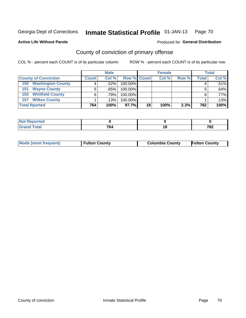#### **Active Life Without Parole**

## Produced for **General Distribution**

## County of conviction of primary offense

|                                 |              | <b>Male</b> |                    |    | <b>Female</b> |       |       | <b>Total</b> |
|---------------------------------|--------------|-------------|--------------------|----|---------------|-------|-------|--------------|
| <b>County of Conviction</b>     | <b>Count</b> | Col%        | <b>Row % Count</b> |    | Col %         | Row % | Total | Col %        |
| <b>Washington County</b><br>150 |              | .52%        | 100.00%            |    |               |       |       | $.51\%$      |
| <b>Wayne County</b><br>151      |              | .65%        | 100.00%            |    |               |       |       | .64%         |
| <b>Whitfield County</b><br>155  |              | .79%        | 100.00%            |    |               |       |       | $.77\%$      |
| <b>Wilkes County</b><br>157     |              | $.13\%$     | 100.00%            |    |               |       |       | .13%         |
| <b>Total Rported</b>            | 764          | 100%        | 97.7%              | 18 | 100%          | 2.3%  | 782   | 100%         |

| w<br>011120 |                    |    |     |
|-------------|--------------------|----|-----|
| -           | 7c<br>o.<br>$\sim$ | __ | 782 |

| <b>Mode (most frequent)</b> | <b>Fulton County</b> | <b>Columbia County</b> | <b>Fulton County</b> |
|-----------------------------|----------------------|------------------------|----------------------|
|                             |                      |                        |                      |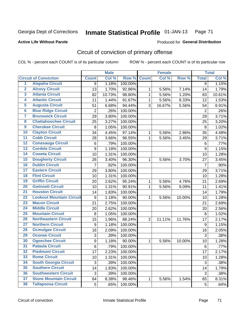**Active Life Without Parole** 

Produced for **General Distribution**

## Circuit of conviction of primary offense

|                         |                                 |                  | <b>Male</b> |         |                | <b>Female</b> |        |                | <b>Total</b> |
|-------------------------|---------------------------------|------------------|-------------|---------|----------------|---------------|--------|----------------|--------------|
|                         | <b>Circuit of Conviction</b>    | <b>Count</b>     | Col %       | Row %   | <b>Count</b>   | Col %         | Row %  | <b>Total</b>   | Col %        |
| 1                       | <b>Alapaha Circuit</b>          | 9                | 1.18%       | 100.00% |                |               |        | 9              | 1.15%        |
| $\overline{2}$          | <b>Alcovy Circuit</b>           | 13               | 1.70%       | 92.86%  | 1              | 5.56%         | 7.14%  | 14             | 1.79%        |
| $\overline{\mathbf{3}}$ | <b>Atlanta Circuit</b>          | 82               | 10.73%      | 98.80%  | $\mathbf{1}$   | 5.56%         | 1.20%  | 83             | 10.61%       |
| 4                       | <b>Atlantic Circuit</b>         | 11               | 1.44%       | 91.67%  | 1              | 5.56%         | 8.33%  | 12             | 1.53%        |
| 5                       | <b>Augusta Circuit</b>          | 51               | 6.68%       | 94.44%  | 3              | 16.67%        | 5.56%  | 54             | 6.91%        |
| $\overline{\bf{6}}$     | <b>Blue Ridge Circuit</b>       | $\overline{2}$   | .26%        | 100.00% |                |               |        | $\overline{2}$ | .26%         |
| 7                       | <b>Brunswick Circuit</b>        | 29               | 3.80%       | 100.00% |                |               |        | 29             | 3.71%        |
| $\overline{\mathbf{8}}$ | <b>Chattahoochee Circuit</b>    | 25               | 3.27%       | 100.00% |                |               |        | 25             | 3.20%        |
| $\overline{9}$          | <b>Cherokee Circuit</b>         | 8                | 1.05%       | 100.00% |                |               |        | 8              | 1.02%        |
| 10                      | <b>Clayton Circuit</b>          | 34               | 4.45%       | 97.14%  | 1              | 5.56%         | 2.86%  | 35             | 4.48%        |
| $\overline{11}$         | <b>Cobb Circuit</b>             | 28               | 3.66%       | 96.55%  | $\mathbf{1}$   | 5.56%         | 3.45%  | 29             | 3.71%        |
| $\overline{12}$         | <b>Conasauga Circuit</b>        | $\,6$            | .79%        | 100.00% |                |               |        | $\,6$          | .77%         |
| 13                      | <b>Cordele Circuit</b>          | 9                | 1.18%       | 100.00% |                |               |        | 9              | 1.15%        |
| 14                      | <b>Coweta Circuit</b>           | 10               | 1.31%       | 100.00% |                |               |        | 10             | 1.28%        |
| $\overline{15}$         | <b>Dougherty Circuit</b>        | 26               | 3.40%       | 96.30%  | 1              | 5.56%         | 3.70%  | 27             | 3.45%        |
| 16                      | <b>Dublin Circuit</b>           | $\overline{7}$   | .92%        | 100.00% |                |               |        | $\overline{7}$ | .90%         |
| 17                      | <b>Eastern Circuit</b>          | 29               | 3.80%       | 100.00% |                |               |        | 29             | 3.71%        |
| $\overline{18}$         | <b>Flint Circuit</b>            | 10               | 1.31%       | 100.00% |                |               |        | 10             | 1.28%        |
| 19                      | <b>Griffin Circuit</b>          | 20               | 2.62%       | 95.24%  | 1              | 5.56%         | 4.76%  | 21             | 2.69%        |
| $\overline{20}$         | <b>Gwinnett Circuit</b>         | 10               | 1.31%       | 90.91%  | 1              | 5.56%         | 9.09%  | 11             | 1.41%        |
| $\overline{21}$         | <b>Houston Circuit</b>          | 14               | 1.83%       | 100.00% |                |               |        | 14             | 1.79%        |
| $\overline{22}$         | <b>Lookout Mountain Circuit</b> | 9                | 1.18%       | 90.00%  | 1              | 5.56%         | 10.00% | 10             | 1.28%        |
| $\overline{23}$         | <b>Macon Circuit</b>            | 21               | 2.75%       | 100.00% |                |               |        | 21             | 2.69%        |
| $\overline{24}$         | <b>Middle Circuit</b>           | 20               | 2.62%       | 100.00% |                |               |        | 20             | 2.56%        |
| $\overline{25}$         | <b>Mountain Circuit</b>         | 8                | 1.05%       | 100.00% |                |               |        | 8              | 1.02%        |
| 26                      | <b>Northeastern Circuit</b>     | 15               | 1.96%       | 88.24%  | $\overline{2}$ | 11.11%        | 11.76% | 17             | 2.17%        |
| $\overline{27}$         | <b>Northern Circuit</b>         | 9                | 1.18%       | 100.00% |                |               |        | 9              | 1.15%        |
| 28                      | <b>Ocmulgee Circuit</b>         | 16               | 2.09%       | 100.00% |                |               |        | 16             | 2.05%        |
| 29                      | <b>Oconee Circuit</b>           | 3                | .39%        | 100.00% |                |               |        | 3              | .38%         |
| 30                      | <b>Ogeechee Circuit</b>         | $\boldsymbol{9}$ | 1.18%       | 90.00%  | 1              | 5.56%         | 10.00% | 10             | 1.28%        |
| $\overline{31}$         | <b>Pataula Circuit</b>          | 6                | .79%        | 100.00% |                |               |        | 6              | .77%         |
| 32                      | <b>Piedmont Circuit</b>         | 17               | 2.23%       | 100.00% |                |               |        | 17             | 2.17%        |
| 33                      | <b>Rome Circuit</b>             | 10               | 1.31%       | 100.00% |                |               |        | 10             | 1.28%        |
| 34                      | <b>South Georgia Circuit</b>    | 3                | .39%        | 100.00% |                |               |        | 3              | .38%         |
| 35                      | <b>Southern Circuit</b>         | 14               | 1.83%       | 100.00% |                |               |        | 14             | 1.79%        |
| 36                      | <b>Southwestern Circuit</b>     | 3                | .39%        | 100.00% |                |               |        | 3              | .38%         |
| 37                      | <b>Stone Mountain Circuit</b>   | 64               | 8.38%       | 98.46%  | 1              | 5.56%         | 1.54%  | 65             | 8.31%        |
| 38                      | <b>Tallapoosa Circuit</b>       | 5                | .65%        | 100.00% |                |               |        | 5              | .64%         |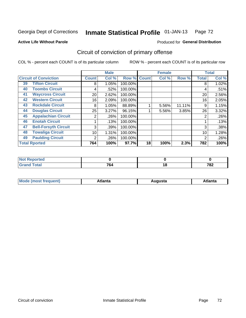**Active Life Without Parole** 

#### Produced for **General Distribution**

## Circuit of conviction of primary offense

|    |                              |              | <b>Male</b> |         |              | <b>Female</b> |        |              | <b>Total</b> |
|----|------------------------------|--------------|-------------|---------|--------------|---------------|--------|--------------|--------------|
|    | <b>Circuit of Conviction</b> | <b>Count</b> | Col %       | Row %   | <b>Count</b> | Col %         | Row %  | <b>Total</b> | Col %        |
| 39 | <b>Tifton Circuit</b>        | 8            | 1.05%       | 100.00% |              |               |        | 8            | 1.02%        |
| 40 | <b>Toombs Circuit</b>        | 4            | .52%        | 100.00% |              |               |        | 4            | .51%         |
| 41 | <b>Waycross Circuit</b>      | 20           | 2.62%       | 100.00% |              |               |        | 20           | 2.56%        |
| 42 | <b>Western Circuit</b>       | 16           | 2.09%       | 100.00% |              |               |        | 16           | 2.05%        |
| 43 | <b>Rockdale Circuit</b>      | 8            | 1.05%       | 88.89%  |              | 5.56%         | 11.11% | 9            | 1.15%        |
| 44 | <b>Douglas Circuit</b>       | 25           | 3.27%       | 96.15%  |              | 5.56%         | 3.85%  | 26           | 3.32%        |
| 45 | <b>Appalachian Circuit</b>   | 2            | .26%        | 100.00% |              |               |        | 2            | .26%         |
| 46 | <b>Enotah Circuit</b>        |              | .13%        | 100.00% |              |               |        |              | .13%         |
| 47 | <b>Bell-Forsyth Circuit</b>  | 3            | .39%        | 100.00% |              |               |        | 3            | .38%         |
| 48 | <b>Towaliga Circuit</b>      | 10           | 1.31%       | 100.00% |              |               |        | 10           | 1.28%        |
| 49 | <b>Paulding Circuit</b>      | 2            | .26%        | 100.00% |              |               |        | 2            | .26%         |
|    | <b>Total Rported</b>         | 764          | 100%        | 97.7%   | 18           | 100%          | 2.3%   | 782          | 100%         |

| .<br>eportea       |     |     |
|--------------------|-----|-----|
| <b>otal</b><br>--- | 764 | 782 |

| М<br>. In n tr<br>.<br>.<br>wanta<br>Πū<br>31.<br>$\sim$ $\sim$ $\sim$ |
|------------------------------------------------------------------------|
|------------------------------------------------------------------------|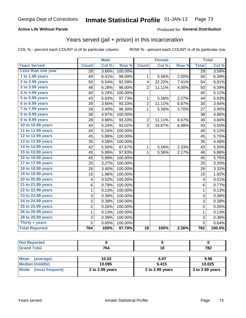### **Active Life Without Parole**

### Produced for **General Distribution**

## Years served (jail + prison) in this incarceration

|                       | <b>Male</b>    |       | <b>Female</b> |                         |        | <b>Total</b> |                |        |
|-----------------------|----------------|-------|---------------|-------------------------|--------|--------------|----------------|--------|
| <b>Years Served</b>   | <b>Count</b>   | Col % | Row %         | <b>Count</b>            | Col %  | Row %        | <b>Total</b>   | Col %  |
| Less than one year    | 28             | 3.66% | 100.00%       |                         |        |              | 28             | 3.58%  |
| 1 to 1.99 years       | 49             | 6.41% | 98.00%        | 1                       | 5.56%  | 2.00%        | 50             | 6.39%  |
| 2 to 2.99 years       | 50             | 6.54% | 92.59%        | $\overline{\mathbf{4}}$ | 22.22% | 7.41%        | 54             | 6.91%  |
| 3 to 3.99 years       | 48             | 6.28% | 96.00%        | $\overline{2}$          | 11.11% | 4.00%        | 50             | 6.39%  |
| 4 to 4.99 years       | 40             | 5.24% | 100.00%       |                         |        |              | 40             | 5.12%  |
| 5 to 5.99 years       | 43             | 5.63% | 97.73%        | 1                       | 5.56%  | 2.27%        | 44             | 5.63%  |
| 6 to 6.99 years       | 28             | 3.66% | 93.33%        | $\overline{2}$          | 11.11% | 6.67%        | 30             | 3.84%  |
| 7 to 7.99 years       | 26             | 3.40% | 96.30%        | 1                       | 5.56%  | 3.70%        | 27             | 3.45%  |
| 8 to 8.99 years       | 38             | 4.97% | 100.00%       |                         |        |              | 38             | 4.86%  |
| 9 to 9.99 years       | 28             | 3.66% | 93.33%        | $\overline{2}$          | 11.11% | 6.67%        | 30             | 3.84%  |
| 10 to 10.99 years     | 40             | 5.24% | 93.02%        | 3                       | 16.67% | 6.98%        | 43             | 5.50%  |
| 11 to 11.99 years     | 40             | 5.24% | 100.00%       |                         |        |              | 40             | 5.12%  |
| 12 to 12.99 years     | 45             | 5.89% | 100.00%       |                         |        |              | 45             | 5.75%  |
| 13 to 13.99 years     | 35             | 4.58% | 100.00%       |                         |        |              | 35             | 4.48%  |
| 14 to 14.99 years     | 42             | 5.50% | 97.67%        | 1                       | 5.56%  | 2.33%        | 43             | 5.50%  |
| 15 to 15.99 years     | 45             | 5.89% | 97.83%        | 1                       | 5.56%  | 2.17%        | 46             | 5.88%  |
| 16 to 16.99 years     | 45             | 5.89% | 100.00%       |                         |        |              | 45             | 5.75%  |
| 17 to 17.99 years     | 25             | 3.27% | 100.00%       |                         |        |              | 25             | 3.20%  |
| 18 to 18.99 years     | 26             | 3.40% | 100.00%       |                         |        |              | 26             | 3.32%  |
| 19 to 19.99 years     | 15             | 1.96% | 100.00%       |                         |        |              | 15             | 1.92%  |
| 20 to 20.99 years     | 4              | 0.52% | 100.00%       |                         |        |              | 4              | 0.51%  |
| 21 to 21.99 years     | 6              | 0.79% | 100.00%       |                         |        |              | 6              | 0.77%  |
| 22 to 22.99 years     | $\mathbf 1$    | 0.13% | 100.00%       |                         |        |              | $\mathbf{1}$   | 0.13%  |
| 23 to 23.99 years     | 3              | 0.39% | 100.00%       |                         |        |              | 3              | 0.38%  |
| 24 to 24.99 years     | 3              | 0.39% | 100.00%       |                         |        |              | 3              | 0.38%  |
| 25 to 25.99 years     | $\overline{c}$ | 0.26% | 100.00%       |                         |        |              | $\overline{2}$ | 0.26%  |
| 26 to 26.99 years     | $\mathbf 1$    | 0.13% | 100.00%       |                         |        |              | $\mathbf 1$    | 0.13%  |
| 28 to 28.99 years     | 3              | 0.39% | 100.00%       |                         |        |              | 3              | 0.38%  |
| Thirty + years        | 5              | 0.65% | 100.00%       |                         |        |              | 5              | 0.64%  |
| <b>Total Reported</b> | 764            | 100%  | 97.70%        | 18                      | 100%   | 2.30%        | 782            | 100.0% |

| NO<br>тео |                     |     |     |
|-----------|---------------------|-----|-----|
|           | $\mathbf{z}$<br>'04 | 1 U | 782 |

| <b>Mean</b><br>(average) | 10.03           | 6.97            | 9.96            |
|--------------------------|-----------------|-----------------|-----------------|
| Median (middle)          | 10.095          | 6.415           | 10.025          |
| Mode (most frequent)     | 2 to 2.99 years | 2 to 2.99 years | 2 to 2.99 years |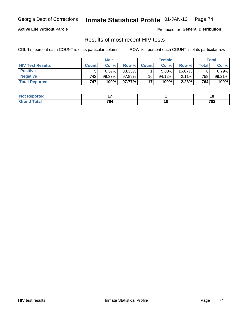### **Active Life Without Parole**

Produced for **General Distribution**

## Results of most recent HIV tests

|                         | <b>Male</b>      |        |           | <b>Female</b> |        |        | Total        |           |
|-------------------------|------------------|--------|-----------|---------------|--------|--------|--------------|-----------|
| <b>HIV Test Results</b> | <b>Count</b>     | Col%   | Row %I    | <b>Count</b>  | Col%   | Row %  | <b>Total</b> | Col %     |
| <b>Positive</b>         | 5                | 0.67%  | 83.33%    |               | 5.88%  | 16.67% |              | $0.79\%$  |
| <b>Negative</b>         | 742 <sub>1</sub> | 99.33% | $97.89\%$ | 16            | 94.12% | 2.11%  | 758          | $99.21\%$ |
| <b>Total Reported</b>   | 747              | 100%   | $97.77\%$ | 17            | 100%   | 2.23%  | 764          | 100%      |

| <b>Not Reported</b> |                             |        | -<br>1 V |
|---------------------|-----------------------------|--------|----------|
| Total               | 70/<br>04°<br>$\sim$ $\sim$ | $\sim$ | 782      |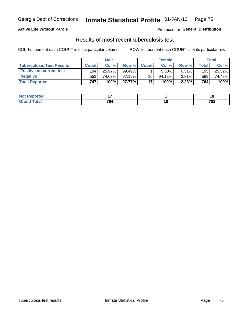### **Active Life Without Parole**

Produced for **General Distribution**

## Results of most recent tuberculosis test

|                                  | <b>Male</b>  |        |           | <b>Female</b> |           |          | Total   |        |
|----------------------------------|--------------|--------|-----------|---------------|-----------|----------|---------|--------|
| <b>Tuberculosis Test Results</b> | <b>Count</b> | Col %  | Row %I    | <b>Count</b>  | Col %     | Row %    | Total i | Col %  |
| <b>Positive on current test</b>  | 194          | 25.97% | $99.49\%$ |               | 5.88%     | $0.51\%$ | 195     | 25.52% |
| <b>Negative</b>                  | 553          | 74.03% | $97.19\%$ | 16            | $94.12\%$ | $2.81\%$ | 569     | 74.48% |
| <b>Total Reported</b>            | 747          | 100%   | 97.77% I  | 17            | 100%      | 2.23%    | 764     | 100%   |

| ported<br>I NOT | -                           |        | . с |
|-----------------|-----------------------------|--------|-----|
| <b>cotal</b>    | 764<br>$\sim$ $\sim$ $\sim$ | $\sim$ | 782 |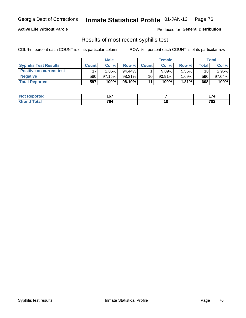#### **Active Life Without Parole**

Produced for **General Distribution**

## Results of most recent syphilis test

|                                 |              | <b>Male</b> |           |              | <b>Female</b> |          |       | Total  |
|---------------------------------|--------------|-------------|-----------|--------------|---------------|----------|-------|--------|
| <b>Syphilis Test Results</b>    | <b>Count</b> | Col%        | Row %I    | <b>Count</b> | Col%          | Row %    | Total | Col %  |
| <b>Positive on current test</b> | 17           | $2.85\%$    | $94.44\%$ |              | $9.09\%$      | 5.56%    | 18    | 2.96%  |
| <b>Negative</b>                 | 580          | 97.15%      | 98.31%    | 10           | 90.91%        | $1.69\%$ | 590   | 97.04% |
| <b>Total Reported</b>           | 597          | 100%        | 98.19%    | 11           | $100\%$       | 1.81%    | 608   | 100%   |

| <b>Not Reported</b> | 167                  |                    | .<br><u> 174</u> |
|---------------------|----------------------|--------------------|------------------|
| <b>Total</b>        | 764<br>$\sim$ $\sim$ | 4 C<br>י<br>$\sim$ | 782              |